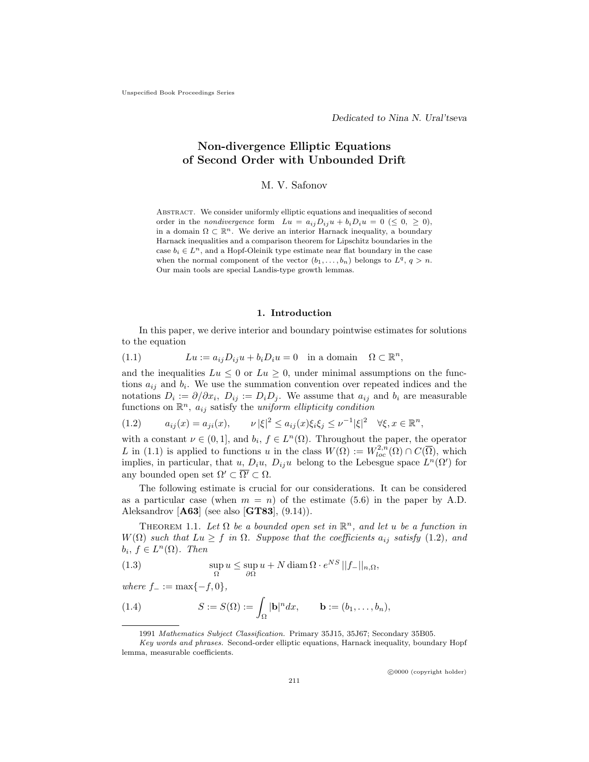# Non-divergence Elliptic Equations of Second Order with Unbounded Drift

## M. V. Safonov

Abstract. We consider uniformly elliptic equations and inequalities of second order in the nondivergence form  $Lu = a_{ij}D_{ij}u + b_iD_iu = 0 \leq 0, \geq 0$ , in a domain  $\Omega \subset \mathbb{R}^n$ . We derive an interior Harnack inequality, a boundary Harnack inequalities and a comparison theorem for Lipschitz boundaries in the case  $b_i \in L^n$ , and a Hopf-Oleinik type estimate near flat boundary in the case when the normal component of the vector  $(b_1, \ldots, b_n)$  belongs to  $L^q$ ,  $q > n$ . Our main tools are special Landis-type growth lemmas.

#### 1. Introduction

In this paper, we derive interior and boundary pointwise estimates for solutions to the equation

(1.1) 
$$
Lu := a_{ij}D_{ij}u + b_iD_iu = 0 \text{ in a domain } \Omega \subset \mathbb{R}^n,
$$

and the inequalities  $Lu \leq 0$  or  $Lu \geq 0$ , under minimal assumptions on the functions  $a_{ij}$  and  $b_i$ . We use the summation convention over repeated indices and the notations  $D_i := \partial/\partial x_i$ ,  $D_{ij} := D_i D_j$ . We assume that  $a_{ij}$  and  $b_i$  are measurable functions on  $\mathbb{R}^n$ ,  $a_{ij}$  satisfy the uniform ellipticity condition

$$
(1.2) \t a_{ij}(x) = a_{ji}(x), \t \nu |\xi|^2 \le a_{ij}(x)\xi_i\xi_j \le \nu^{-1}|\xi|^2 \quad \forall \xi, x \in \mathbb{R}^n,
$$

with a constant  $\nu \in (0,1]$ , and  $b_i, f \in L^n(\Omega)$ . Throughout the paper, the operator L in (1.1) is applied to functions u in the class  $W(\Omega) := W_{loc}^{2,n}(\Omega) \cap C(\overline{\Omega})$ , which implies, in particular, that u,  $D_i u$ ,  $D_{ij} u$  belong to the Lebesgue space  $L^n(\Omega')$  for any bounded open set  $\Omega' \subset \overline{\Omega'} \subset \Omega$ .

The following estimate is crucial for our considerations. It can be considered as a particular case (when  $m = n$ ) of the estimate (5.6) in the paper by A.D. Aleksandrov  $[A63]$  (see also  $[GT83]$ ,  $(9.14)$ ).

THEOREM 1.1. Let  $\Omega$  be a bounded open set in  $\mathbb{R}^n$ , and let u be a function in  $W(\Omega)$  such that  $Lu \geq f$  in  $\Omega$ . Suppose that the coefficients  $a_{ij}$  satisfy (1.2), and  $b_i, f \in L^n(\Omega)$ . Then

(1.3) 
$$
\sup_{\Omega} u \leq \sup_{\partial \Omega} u + N \operatorname{diam} \Omega \cdot e^{NS} ||f_{-}||_{n,\Omega},
$$

where  $f_{-} := \max\{-f, 0\},\,$ 

(1.4) 
$$
S := S(\Omega) := \int_{\Omega} |\mathbf{b}|^n dx, \qquad \mathbf{b} := (b_1, \dots, b_n),
$$

c 0000 (copyright holder)

<sup>1991</sup> Mathematics Subject Classification. Primary 35J15, 35J67; Secondary 35B05.

Key words and phrases. Second-order elliptic equations, Harnack inequality, boundary Hopf lemma, measurable coefficients.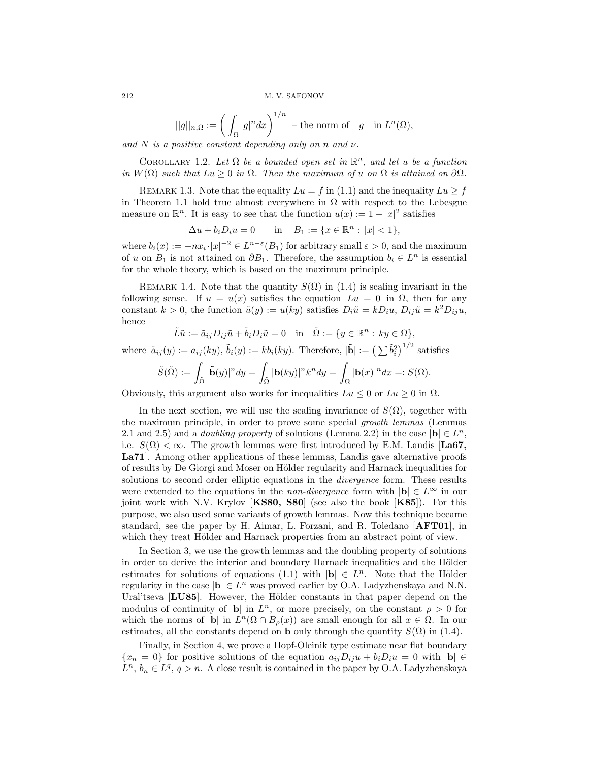212 M. V. SAFONOV

$$
||g||_{n,\Omega} := \left(\int_{\Omega} |g|^n dx\right)^{1/n} - \text{the norm of } g \quad \text{in } L^n(\Omega),
$$

and N is a positive constant depending only on n and  $\nu$ .

COROLLARY 1.2. Let  $\Omega$  be a bounded open set in  $\mathbb{R}^n$ , and let u be a function in  $W(\Omega)$  such that  $Lu \geq 0$  in  $\Omega$ . Then the maximum of u on  $\overline{\Omega}$  is attained on  $\partial\Omega$ .

REMARK 1.3. Note that the equality  $Lu = f$  in (1.1) and the inequality  $Lu \ge f$ in Theorem 1.1 hold true almost everywhere in  $\Omega$  with respect to the Lebesgue measure on  $\mathbb{R}^n$ . It is easy to see that the function  $u(x) := 1 - |x|^2$  satisfies

$$
\Delta u + b_i D_i u = 0 \quad \text{in} \quad B_1 := \{ x \in \mathbb{R}^n : |x| < 1 \},
$$

where  $b_i(x) := -nx_i \cdot |x|^{-2} \in L^{n-\varepsilon}(B_1)$  for arbitrary small  $\varepsilon > 0$ , and the maximum of u on  $\overline{B_1}$  is not attained on  $\partial B_1$ . Therefore, the assumption  $b_i \in L^n$  is essential for the whole theory, which is based on the maximum principle.

REMARK 1.4. Note that the quantity  $S(\Omega)$  in (1.4) is scaling invariant in the following sense. If  $u = u(x)$  satisfies the equation  $Lu = 0$  in  $\Omega$ , then for any constant  $k > 0$ , the function  $\tilde{u}(y) := u(ky)$  satisfies  $D_i \tilde{u} = kD_i u$ ,  $D_{ij} \tilde{u} = k^2 D_{ij} u$ , hence

$$
\tilde{L} \tilde{u} := \tilde{a}_{ij} D_{ij} \tilde{u} + \tilde{b}_i D_i \tilde{u} = 0 \quad \text{in} \quad \tilde{\Omega} := \{ y \in \mathbb{R}^n : \, ky \in \Omega \},
$$

where  $\tilde{a}_{ij}(y) := a_{ij}(ky), \, \tilde{b}_i(y) := k b_i(ky)$ . Therefore,  $|\tilde{\mathbf{b}}| := (\sum \tilde{b}_i^2)^{1/2}$  satisfies

$$
\tilde{S}(\tilde{\Omega}) := \int_{\tilde{\Omega}} |\tilde{\mathbf{b}}(y)|^n dy = \int_{\tilde{\Omega}} |\mathbf{b}(ky)|^n k^n dy = \int_{\Omega} |\mathbf{b}(x)|^n dx =: S(\Omega).
$$

Obviously, this argument also works for inequalities  $Lu < 0$  or  $Lu > 0$  in  $\Omega$ .

In the next section, we will use the scaling invariance of  $S(\Omega)$ , together with the maximum principle, in order to prove some special growth lemmas (Lemmas 2.1 and 2.5) and a *doubling property* of solutions (Lemma 2.2) in the case  $|\mathbf{b}| \in L^n$ , i.e.  $S(\Omega) < \infty$ . The growth lemmas were first introduced by E.M. Landis [La67, La71]. Among other applications of these lemmas, Landis gave alternative proofs of results by De Giorgi and Moser on Hölder regularity and Harnack inequalities for solutions to second order elliptic equations in the *divergence* form. These results were extended to the equations in the *non-divergence* form with  $|\mathbf{b}| \in L^{\infty}$  in our joint work with N.V. Krylov [KS80, S80] (see also the book [K85]). For this purpose, we also used some variants of growth lemmas. Now this technique became standard, see the paper by H. Aimar, L. Forzani, and R. Toledano [AFT01], in which they treat Hölder and Harnack properties from an abstract point of view.

In Section 3, we use the growth lemmas and the doubling property of solutions in order to derive the interior and boundary Harnack inequalities and the Hölder estimates for solutions of equations (1.1) with  $|\mathbf{b}| \in L^n$ . Note that the Hölder regularity in the case  $|\mathbf{b}| \in L^n$  was proved earlier by O.A. Ladyzhenskaya and N.N. Ural'tseva [LU85]. However, the Hölder constants in that paper depend on the modulus of continuity of  $|\mathbf{b}|$  in  $L^n$ , or more precisely, on the constant  $\rho > 0$  for which the norms of |b| in  $L^n(\Omega \cap B_\rho(x))$  are small enough for all  $x \in \Omega$ . In our estimates, all the constants depend on **b** only through the quantity  $S(\Omega)$  in (1.4).

Finally, in Section 4, we prove a Hopf-Oleinik type estimate near flat boundary  ${x_n = 0}$  for positive solutions of the equation  $a_{ij}D_{ij}u + b_iD_iu = 0$  with  $|{\bf b}| \in$  $L^n$ ,  $b_n \in L^q$ ,  $q > n$ . A close result is contained in the paper by O.A. Ladyzhenskaya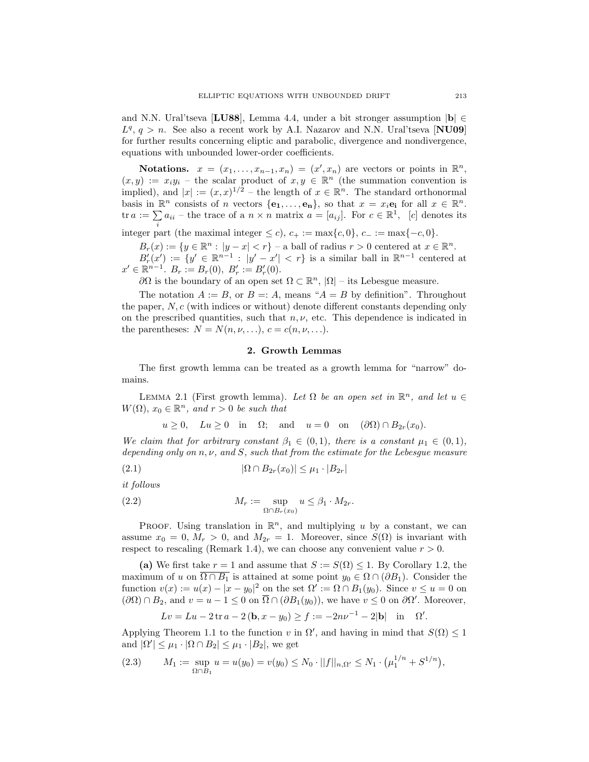and N.N. Ural'tseva [LU88], Lemma 4.4, under a bit stronger assumption  $|{\bf b}| \in$  $L^q$ ,  $q > n$ . See also a recent work by A.I. Nazarov and N.N. Ural'tseva [NU09] for further results concerning eliptic and parabolic, divergence and nondivergence, equations with unbounded lower-order coefficients.

Notations.  $x = (x_1, \ldots, x_{n-1}, x_n) = (x', x_n)$  are vectors or points in  $\mathbb{R}^n$ ,  $(x, y) := x_i y_i$  – the scalar product of  $x, y \in \mathbb{R}^n$  (the summation convention is implied), and  $|x| := (x, x)^{1/2}$  – the length of  $x \in \mathbb{R}^n$ . The standard orthonormal basis in  $\mathbb{R}^n$  consists of *n* vectors  $\{\mathbf{e}_1, \ldots, \mathbf{e}_n\}$ , so that  $x = x_i \mathbf{e}_i$  for all  $x \in \mathbb{R}^n$ . tr  $a := \sum a_{ii}$  – the trace of a  $n \times n$  matrix  $a = [a_{ij}]$ . For  $c \in \mathbb{R}^1$ , [c] denotes its

integer part (the maximal integer  $\leq c$ ),  $c_+ := \max\{c, 0\}$ ,  $c_- := \max\{-c, 0\}$ .

 $B_r(x) := \{y \in \mathbb{R}^n : |y - x| < r\}$  – a ball of radius  $r > 0$  centered at  $x \in \mathbb{R}^n$ .  $B'_r(x') := \{y' \in \mathbb{R}^{n-1} : |y' - x'| < r\}$  is a similar ball in  $\mathbb{R}^{n-1}$  centered at  $x' \in \mathbb{R}^{n-1}$ .  $B_r := B_r(0)$ ,  $B'_r := B'_r(0)$ .

 $∂Ω$  is the boundary of an open set  $Ω ⊂ ℝ<sup>n</sup>$ ,  $|Ω|$  – its Lebesgue measure.

The notation  $A := B$ , or  $B = A$ , means " $A = B$  by definition". Throughout the paper, N, c (with indices or without) denote different constants depending only on the prescribed quantities, such that  $n, \nu$ , etc. This dependence is indicated in the parentheses:  $N = N(n, \nu, \ldots), c = c(n, \nu, \ldots).$ 

### 2. Growth Lemmas

The first growth lemma can be treated as a growth lemma for "narrow" domains.

LEMMA 2.1 (First growth lemma). Let  $\Omega$  be an open set in  $\mathbb{R}^n$ , and let  $u \in$  $W(\Omega)$ ,  $x_0 \in \mathbb{R}^n$ , and  $r > 0$  be such that

$$
u \ge 0
$$
,  $Lu \ge 0$  in  $\Omega$ ; and  $u = 0$  on  $(\partial \Omega) \cap B_{2r}(x_0)$ .

We claim that for arbitrary constant  $\beta_1 \in (0,1)$ , there is a constant  $\mu_1 \in (0,1)$ , depending only on  $n, \nu$ , and S, such that from the estimate for the Lebesgue measure

(2.1) 
$$
|\Omega \cap B_{2r}(x_0)| \leq \mu_1 \cdot |B_{2r}|
$$

it follows

(2.2) 
$$
M_r := \sup_{\Omega \cap B_r(x_0)} u \leq \beta_1 \cdot M_{2r}.
$$

PROOF. Using translation in  $\mathbb{R}^n$ , and multiplying u by a constant, we can assume  $x_0 = 0$ ,  $M_r > 0$ , and  $M_{2r} = 1$ . Moreover, since  $S(\Omega)$  is invariant with respect to rescaling (Remark 1.4), we can choose any convenient value  $r > 0$ .

(a) We first take  $r = 1$  and assume that  $S := S(\Omega) \leq 1$ . By Corollary 1.2, the maximum of u on  $\overline{\Omega \cap B_1}$  is attained at some point  $y_0 \in \Omega \cap (\partial B_1)$ . Consider the function  $v(x) := u(x) - |x - y_0|^2$  on the set  $\Omega' := \Omega \cap B_1(y_0)$ . Since  $v \le u = 0$  on  $(\partial\Omega)\cap B_2$ , and  $v=u-1\leq 0$  on  $\overline{\Omega}\cap(\partial B_1(y_0))$ , we have  $v\leq 0$  on  $\partial\Omega'$ . Moreover,

$$
Lv = Lu - 2 \operatorname{tr} a - 2(b, x - y_0) \ge f := -2nv^{-1} - 2|b| \quad \text{in} \quad \Omega'
$$

.

Applying Theorem 1.1 to the function v in  $\Omega'$ , and having in mind that  $S(\Omega) \leq 1$ and  $|\Omega'| \leq \mu_1 \cdot |\Omega \cap B_2| \leq \mu_1 \cdot |B_2|$ , we get

$$
(2.3) \tM_1 := \sup_{\Omega \cap B_1} u = u(y_0) = v(y_0) \le N_0 \cdot ||f||_{n,\Omega'} \le N_1 \cdot (\mu_1^{1/n} + S^{1/n}),
$$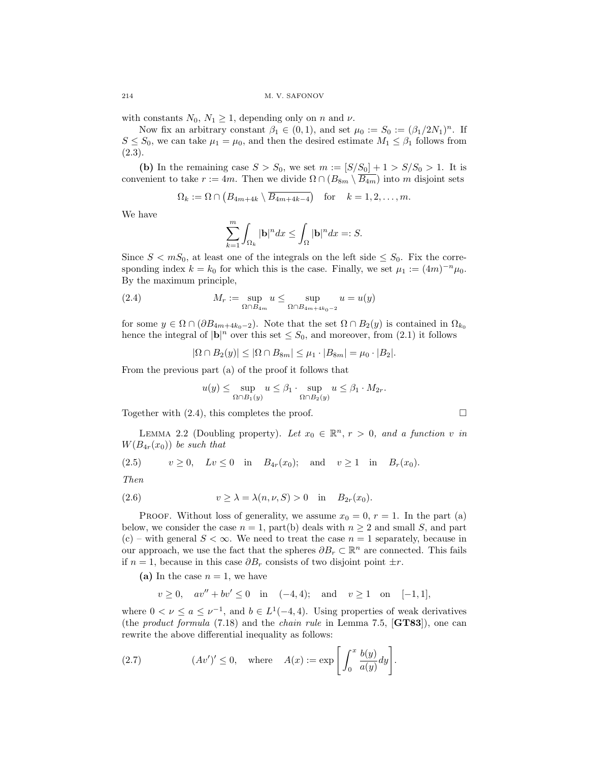with constants  $N_0$ ,  $N_1 \geq 1$ , depending only on n and v.

Now fix an arbitrary constant  $\beta_1 \in (0,1)$ , and set  $\mu_0 := S_0 := (\beta_1/2N_1)^n$ . If  $S \leq S_0$ , we can take  $\mu_1 = \mu_0$ , and then the desired estimate  $M_1 \leq \beta_1$  follows from  $(2.3).$ 

(b) In the remaining case  $S > S_0$ , we set  $m := [S/S_0] + 1 > S/S_0 > 1$ . It is convenient to take  $r := 4m$ . Then we divide  $\Omega \cap (B_{8m} \setminus \overline{B_{4m}})$  into m disjoint sets

$$
\Omega_k := \Omega \cap (B_{4m+4k} \setminus \overline{B_{4m+4k-4}}) \quad \text{for} \quad k = 1, 2, \dots, m.
$$

We have

$$
\sum_{k=1}^{m} \int_{\Omega_k} |\mathbf{b}|^n dx \le \int_{\Omega} |\mathbf{b}|^n dx =: S.
$$

Since  $S < mS_0$ , at least one of the integrals on the left side  $\leq S_0$ . Fix the corresponding index  $k = k_0$  for which this is the case. Finally, we set  $\mu_1 := (4m)^{-n} \mu_0$ . By the maximum principle,

(2.4) 
$$
M_r := \sup_{\Omega \cap B_{4m}} u \le \sup_{\Omega \cap B_{4m+4k_0-2}} u = u(y)
$$

for some  $y \in \Omega \cap (\partial B_{4m+4k_0-2})$ . Note that the set  $\Omega \cap B_2(y)$  is contained in  $\Omega_{k_0}$ hence the integral of  $|\mathbf{b}|^n$  over this set  $\leq S_0$ , and moreover, from (2.1) it follows

$$
|\Omega \cap B_2(y)| \leq |\Omega \cap B_{8m}| \leq \mu_1 \cdot |B_{8m}| = \mu_0 \cdot |B_2|.
$$

From the previous part (a) of the proof it follows that

$$
u(y) \le \sup_{\Omega \cap B_1(y)} u \le \beta_1 \cdot \sup_{\Omega \cap B_2(y)} u \le \beta_1 \cdot M_{2r}.
$$

Together with  $(2.4)$ , this completes the proof.

LEMMA 2.2 (Doubling property). Let  $x_0 \in \mathbb{R}^n$ ,  $r > 0$ , and a function v in  $W(B_{4r}(x_0))$  be such that

(2.5) 
$$
v \ge 0
$$
,  $Lv \le 0$  in  $B_{4r}(x_0)$ ; and  $v \ge 1$  in  $B_r(x_0)$ .

Then

$$
(2.6) \t\t v \ge \lambda = \lambda(n, \nu, S) > 0 \t in B_{2r}(x_0).
$$

PROOF. Without loss of generality, we assume  $x_0 = 0, r = 1$ . In the part (a) below, we consider the case  $n = 1$ , part(b) deals with  $n \geq 2$  and small S, and part (c) – with general  $S < \infty$ . We need to treat the case  $n = 1$  separately, because in our approach, we use the fact that the spheres  $\partial B_r \subset \mathbb{R}^n$  are connected. This fails if  $n = 1$ , because in this case  $\partial B_r$  consists of two disjoint point  $\pm r$ .

(a) In the case  $n = 1$ , we have

$$
v \ge 0
$$
,  $av'' + bv' \le 0$  in  $(-4, 4)$ ; and  $v \ge 1$  on  $[-1, 1]$ ,

where  $0 < \nu \leq a \leq \nu^{-1}$ , and  $b \in L^1(-4, 4)$ . Using properties of weak derivatives (the *product formula*  $(7.18)$  and the *chain rule* in Lemma 7.5,  $[\textbf{GTS3}]$ ), one can rewrite the above differential inequality as follows:

(2.7) 
$$
(Av')' \leq 0, \quad \text{where} \quad A(x) := \exp\left[\int_0^x \frac{b(y)}{a(y)} dy\right].
$$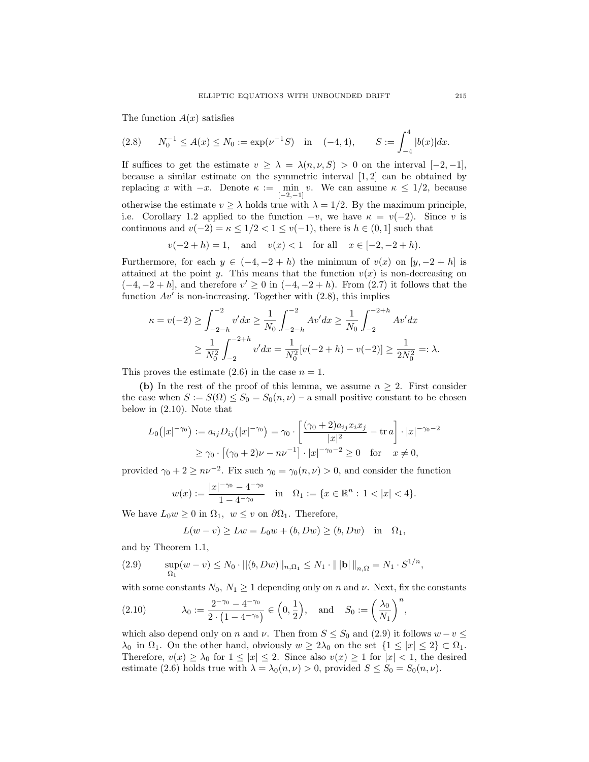The function  $A(x)$  satisfies

$$
(2.8) \qquad N_0^{-1} \le A(x) \le N_0 := \exp(\nu^{-1}S) \quad \text{in} \quad (-4, 4), \qquad S := \int_{-4}^{4} |b(x)| dx.
$$

If suffices to get the estimate  $v \geq \lambda = \lambda(n, \nu, S) > 0$  on the interval  $[-2, -1]$ , because a similar estimate on the symmetric interval  $[1, 2]$  can be obtained by replacing x with  $-x$ . Denote  $\kappa := \min_{[-2,-1]} v$ . We can assume  $\kappa \leq 1/2$ , because otherwise the estimate  $v \ge \lambda$  holds true with  $\lambda = 1/2$ . By the maximum principle,

i.e. Corollary 1.2 applied to the function  $-v$ , we have  $\kappa = v(-2)$ . Since v is continuous and  $v(-2) = \kappa \leq 1/2 < 1 \leq v(-1)$ , there is  $h \in (0, 1]$  such that

 $v(-2 + h) = 1$ , and  $v(x) < 1$  for all  $x \in [-2, -2 + h)$ .

Furthermore, for each  $y \in (-4, -2 + h)$  the minimum of  $v(x)$  on  $[y, -2 + h]$  is attained at the point y. This means that the function  $v(x)$  is non-decreasing on  $(-4, -2 + h]$ , and therefore  $v' \ge 0$  in  $(-4, -2 + h)$ . From (2.7) it follows that the function  $Av'$  is non-increasing. Together with  $(2.8)$ , this implies

$$
\kappa = v(-2) \ge \int_{-2-h}^{-2} v' dx \ge \frac{1}{N_0} \int_{-2-h}^{-2} Av' dx \ge \frac{1}{N_0} \int_{-2}^{-2+h} Av' dx
$$
  

$$
\ge \frac{1}{N_0^2} \int_{-2}^{-2+h} v' dx = \frac{1}{N_0^2} [v(-2+h) - v(-2)] \ge \frac{1}{2N_0^2} =: \lambda.
$$

This proves the estimate  $(2.6)$  in the case  $n = 1$ .

(b) In the rest of the proof of this lemma, we assume  $n \geq 2$ . First consider the case when  $S := S(\Omega) \leq S_0 = S_0(n, \nu)$  – a small positive constant to be chosen below in (2.10). Note that

$$
L_0(|x|^{-\gamma_0}) := a_{ij}D_{ij}(|x|^{-\gamma_0}) = \gamma_0 \cdot \left[ \frac{(\gamma_0 + 2)a_{ij}x_ix_j}{|x|^2} - \text{tr } a \right] \cdot |x|^{-\gamma_0 - 2}
$$
  
 
$$
\geq \gamma_0 \cdot [(\gamma_0 + 2)\nu - n\nu^{-1}] \cdot |x|^{-\gamma_0 - 2} \geq 0 \text{ for } x \neq 0,
$$

provided  $\gamma_0 + 2 \geq n\nu^{-2}$ . Fix such  $\gamma_0 = \gamma_0(n, \nu) > 0$ , and consider the function

$$
w(x) := \frac{|x|^{-\gamma_0} - 4^{-\gamma_0}}{1 - 4^{-\gamma_0}} \quad \text{in} \quad \Omega_1 := \{x \in \mathbb{R}^n : 1 < |x| < 4\}.
$$

We have  $L_0w \geq 0$  in  $\Omega_1, w \leq v$  on  $\partial\Omega_1$ . Therefore,

$$
L(w - v) \geq Lw = L_0w + (b, Dw) \geq (b, Dw) \quad \text{in} \quad \Omega_1,
$$

and by Theorem 1.1,

(2.9) 
$$
\sup_{\Omega_1} (w - v) \le N_0 \cdot ||(b, Dw)||_{n, \Omega_1} \le N_1 \cdot ||\mathbf{b}||_{n, \Omega} = N_1 \cdot S^{1/n},
$$

with some constants  $N_0$ ,  $N_1 \geq 1$  depending only on n and  $\nu$ . Next, fix the constants

(2.10) 
$$
\lambda_0 := \frac{2^{-\gamma_0} - 4^{-\gamma_0}}{2 \cdot (1 - 4^{-\gamma_0})} \in \left(0, \frac{1}{2}\right)
$$
, and  $S_0 := \left(\frac{\lambda_0}{N_1}\right)^n$ ,

which also depend only on n and v. Then from  $S \leq S_0$  and (2.9) it follows  $w - v \leq$  $\lambda_0$  in  $\Omega_1$ . On the other hand, obviously  $w \geq 2\lambda_0$  on the set  $\{1 \leq |x| \leq 2\} \subset \Omega_1$ . Therefore,  $v(x) \geq \lambda_0$  for  $1 \leq |x| \leq 2$ . Since also  $v(x) \geq 1$  for  $|x| < 1$ , the desired estimate (2.6) holds true with  $\lambda = \lambda_0(n, \nu) > 0$ , provided  $S \le S_0 = S_0(n, \nu)$ .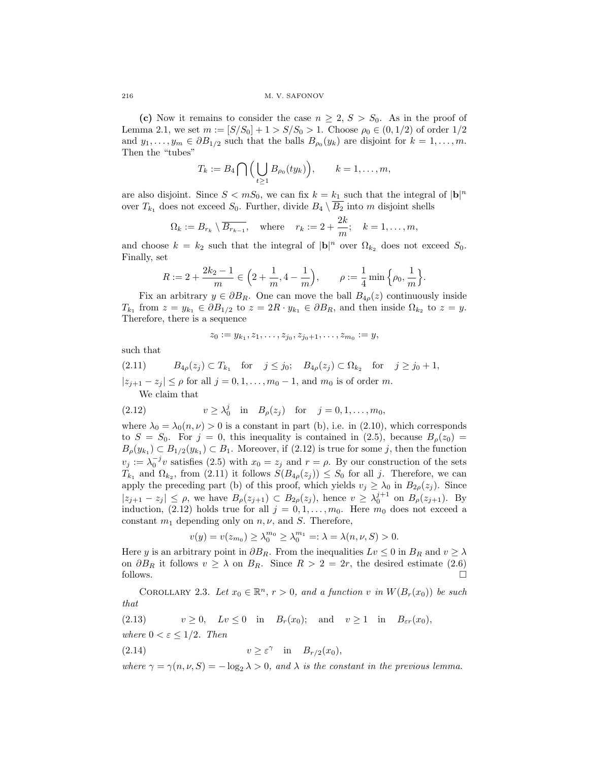(c) Now it remains to consider the case  $n \geq 2$ ,  $S > S_0$ . As in the proof of Lemma 2.1, we set  $m := [S/S_0] + 1 > S/S_0 > 1$ . Choose  $\rho_0 \in (0, 1/2)$  of order  $1/2$ and  $y_1, \ldots, y_m \in \partial B_{1/2}$  such that the balls  $B_{\rho_0}(y_k)$  are disjoint for  $k = 1, \ldots, m$ . Then the "tubes"

$$
T_k := B_4 \bigcap \Big( \bigcup_{t \geq 1} B_{\rho_0}(ty_k) \Big), \qquad k = 1, \ldots, m,
$$

are also disjoint. Since  $S < mS_0$ , we can fix  $k = k_1$  such that the integral of  $|\mathbf{b}|^n$ over  $T_{k_1}$  does not exceed  $S_0$ . Further, divide  $B_4 \setminus \overline{B_2}$  into m disjoint shells

$$
\Omega_k := B_{r_k} \setminus \overline{B_{r_{k-1}}}, \quad \text{where} \quad r_k := 2 + \frac{2k}{m}; \quad k = 1, \dots, m,
$$

and choose  $k = k_2$  such that the integral of  $|\mathbf{b}|^n$  over  $\Omega_{k_2}$  does not exceed  $S_0$ . Finally, set

$$
R := 2 + \frac{2k_2 - 1}{m} \in \left(2 + \frac{1}{m}, 4 - \frac{1}{m}\right), \qquad \rho := \frac{1}{4} \min\left\{\rho_0, \frac{1}{m}\right\}.
$$

Fix an arbitrary  $y \in \partial B_R$ . One can move the ball  $B_{4\rho}(z)$  continuously inside  $T_{k_1}$  from  $z = y_{k_1} \in \partial B_{1/2}$  to  $z = 2R \cdot y_{k_1} \in \partial B_R$ , and then inside  $\Omega_{k_2}$  to  $z = y$ . Therefore, there is a sequence

$$
z_0 := y_{k_1}, z_1, \ldots, z_{j_0}, z_{j_0+1}, \ldots, z_{m_0} := y,
$$

such that

(2.11) 
$$
B_{4\rho}(z_j) \subset T_{k_1} \quad \text{for} \quad j \le j_0; \quad B_{4\rho}(z_j) \subset \Omega_{k_2} \quad \text{for} \quad j \ge j_0 + 1,
$$

$$
|z_{j+1} - z_j| \le \rho \text{ for all } j = 0, 1, \dots, m_0 - 1, \text{ and } m_0 \text{ is of order } m.
$$
  
We claim that

(2.12) 
$$
v \ge \lambda_0^j
$$
 in  $B_\rho(z_j)$  for  $j = 0, 1, ..., m_0$ ,

where  $\lambda_0 = \lambda_0(n, \nu) > 0$  is a constant in part (b), i.e. in (2.10), which corresponds to  $S = S_0$ . For  $j = 0$ , this inequality is contained in (2.5), because  $B_{\rho}(z_0) =$  $B_{\rho}(y_{k_1}) \subset B_{1/2}(y_{k_1}) \subset B_1$ . Moreover, if  $(2.12)$  is true for some j, then the function  $v_j := \lambda_0^{-j}v$  satisfies (2.5) with  $x_0 = z_j$  and  $r = \rho$ . By our construction of the sets  $T_{k_1}$  and  $\Omega_{k_2}$ , from (2.11) it follows  $S(B_{4\rho}(z_j)) \leq S_0$  for all j. Therefore, we can apply the preceding part (b) of this proof, which yields  $v_j \geq \lambda_0$  in  $B_{2\rho}(z_j)$ . Since  $|z_{j+1} - z_j| \leq \rho$ , we have  $B_{\rho}(z_{j+1}) \subset B_{2\rho}(z_j)$ , hence  $v \geq \lambda_0^{j+1}$  on  $B_{\rho}(z_{j+1})$ . By induction, (2.12) holds true for all  $j = 0, 1, \ldots, m_0$ . Here  $m_0$  does not exceed a constant  $m_1$  depending only on  $n, \nu$ , and S. Therefore,

$$
v(y) = v(z_{m_0}) \ge \lambda_0^{m_0} \ge \lambda_0^{m_1} =: \lambda = \lambda(n, \nu, S) > 0.
$$

Here y is an arbitrary point in  $\partial B_R$ . From the inequalities  $Lv \leq 0$  in  $B_R$  and  $v \geq \lambda$ on  $\partial B_R$  it follows  $v \ge \lambda$  on  $B_R$ . Since  $R > 2 = 2r$ , the desired estimate (2.6) follows.  $\Box$ 

COROLLARY 2.3. Let  $x_0 \in \mathbb{R}^n$ ,  $r > 0$ , and a function v in  $W(B_r(x_0))$  be such that

(2.13) 
$$
v \ge 0
$$
,  $Lv \le 0$  in  $B_r(x_0)$ ; and  $v \ge 1$  in  $B_{\varepsilon r}(x_0)$ ,

where  $0 < \varepsilon \leq 1/2$ . Then

(2.14) 
$$
v \geq \varepsilon^{\gamma} \quad \text{in} \quad B_{r/2}(x_0),
$$

where  $\gamma = \gamma(n, \nu, S) = -\log_2 \lambda > 0$ , and  $\lambda$  is the constant in the previous lemma.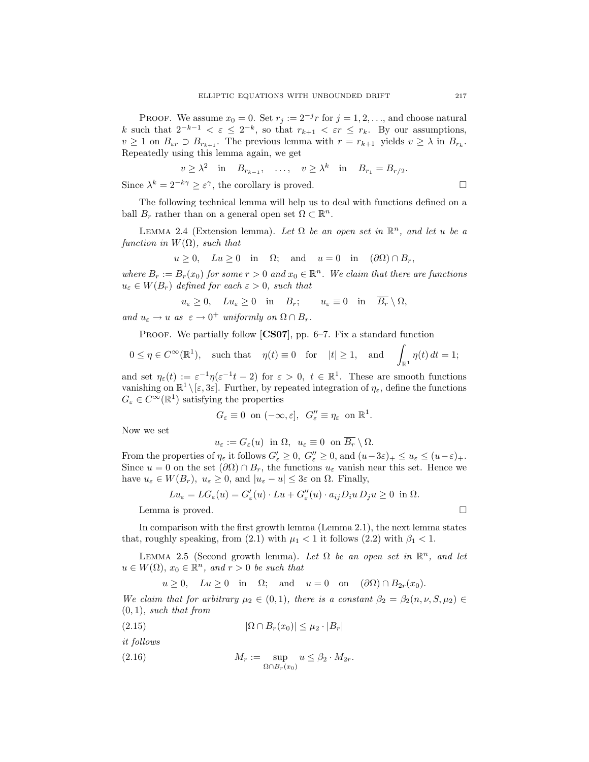PROOF. We assume  $x_0 = 0$ . Set  $r_j := 2^{-j}r$  for  $j = 1, 2, \ldots$ , and choose natural k such that  $2^{-k-1} < \varepsilon \leq 2^{-k}$ , so that  $r_{k+1} < \varepsilon r \leq r_k$ . By our assumptions,  $v \geq 1$  on  $B_{\varepsilon r} \supset B_{r_{k+1}}$ . The previous lemma with  $r = r_{k+1}$  yields  $v \geq \lambda$  in  $B_{r_k}$ . Repeatedly using this lemma again, we get

 $v \geq \lambda^2$  in  $B_{r_{k-1}}, \ldots, v \geq \lambda^k$  in  $B_{r_1} = B_{r/2}.$ Since  $\lambda^k = 2^{-k\gamma} \geq \varepsilon^{\gamma}$ , the corollary is proved.

The following technical lemma will help us to deal with functions defined on a ball  $B_r$  rather than on a general open set  $\Omega \subset \mathbb{R}^n$ .

LEMMA 2.4 (Extension lemma). Let  $\Omega$  be an open set in  $\mathbb{R}^n$ , and let u be a function in  $W(\Omega)$ , such that

$$
u \ge 0
$$
,  $Lu \ge 0$  in  $\Omega$ ; and  $u = 0$  in  $(\partial \Omega) \cap B_r$ ,

where  $B_r := B_r(x_0)$  for some  $r > 0$  and  $x_0 \in \mathbb{R}^n$ . We claim that there are functions  $u_{\varepsilon} \in W(B_r)$  defined for each  $\varepsilon > 0$ , such that

$$
u_{\varepsilon} \ge 0
$$
,  $Lu_{\varepsilon} \ge 0$  in  $B_r$ ;  $u_{\varepsilon} \equiv 0$  in  $\overline{B_r} \setminus \Omega$ ,

and  $u_{\varepsilon} \to u$  as  $\varepsilon \to 0^+$  uniformly on  $\Omega \cap B_r$ .

PROOF. We partially follow  $[CS07]$ , pp. 6–7. Fix a standard function

$$
0 \le \eta \in C^{\infty}(\mathbb{R}^1)
$$
, such that  $\eta(t) \equiv 0$  for  $|t| \ge 1$ , and  $\int_{\mathbb{R}^1} \eta(t) dt = 1$ ;

and set  $\eta_{\varepsilon}(t) := \varepsilon^{-1}\eta(\varepsilon^{-1}t-2)$  for  $\varepsilon > 0$ ,  $t \in \mathbb{R}^1$ . These are smooth functions vanishing on  $\mathbb{R}^1 \setminus [\varepsilon, 3\varepsilon]$ . Further, by repeated integration of  $\eta_{\varepsilon}$ , define the functions  $G_{\varepsilon} \in C^{\infty}(\mathbb{R}^1)$  satisfying the properties

$$
G_{\varepsilon} \equiv 0 \ \text{on } (-\infty, \varepsilon], \ G_{\varepsilon}'' \equiv \eta_{\varepsilon} \ \text{on } \mathbb{R}^1.
$$

Now we set

$$
u_{\varepsilon} := G_{\varepsilon}(u) \text{ in } \Omega, u_{\varepsilon} \equiv 0 \text{ on } \overline{B_r} \setminus \Omega.
$$

From the properties of  $\eta_{\varepsilon}$  it follows  $G'_{\varepsilon} \geq 0$ ,  $G''_{\varepsilon} \geq 0$ , and  $(u-3\varepsilon)_{+} \leq u_{\varepsilon} \leq (u-\varepsilon)_{+}$ . Since  $u = 0$  on the set  $(\partial \Omega) \cap B_r$ , the functions  $u_{\varepsilon}$  vanish near this set. Hence we have  $u_{\varepsilon} \in W(B_r)$ ,  $u_{\varepsilon} \geq 0$ , and  $|u_{\varepsilon} - u| \leq 3\varepsilon$  on  $\Omega$ . Finally,

$$
Lu_{\varepsilon} = LG_{\varepsilon}(u) = G'_{\varepsilon}(u) \cdot Lu + G''_{\varepsilon}(u) \cdot a_{ij}D_{i}u D_{j}u \ge 0 \text{ in } \Omega.
$$

Lemma is proved.

In comparison with the first growth lemma (Lemma 2.1), the next lemma states that, roughly speaking, from (2.1) with  $\mu_1 < 1$  it follows (2.2) with  $\beta_1 < 1$ .

LEMMA 2.5 (Second growth lemma). Let  $\Omega$  be an open set in  $\mathbb{R}^n$ , and let  $u \in W(\Omega)$ ,  $x_0 \in \mathbb{R}^n$ , and  $r > 0$  be such that

 $u \geq 0$ ,  $Lu \geq 0$  in  $\Omega$ ; and  $u = 0$  on  $(\partial \Omega) \cap B_{2r}(x_0)$ .

We claim that for arbitrary  $\mu_2 \in (0,1)$ , there is a constant  $\beta_2 = \beta_2(n,\nu,S,\mu_2) \in$  $(0, 1)$ , such that from

$$
(2.15) \qquad |\Omega \cap B_r(x_0)| \le \mu_2 \cdot |B_r|
$$

it follows

$$
(2.16) \t\t\t M_r := \sup_{\Omega \cap B_r(x_0)} u \le \beta_2 \cdot M_{2r}.
$$

$$
\Box
$$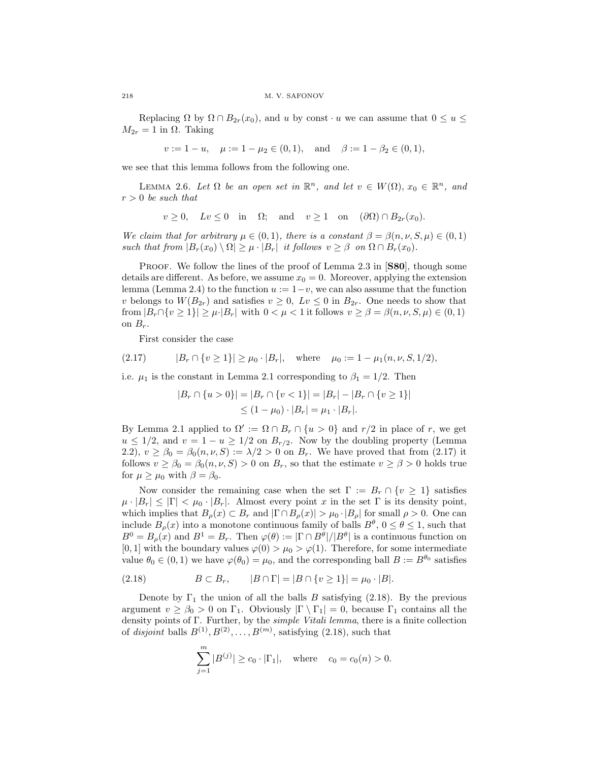Replacing  $\Omega$  by  $\Omega \cap B_{2r}(x_0)$ , and u by const  $\cdot u$  we can assume that  $0 \le u \le$  $M_{2r} = 1$  in  $\Omega$ . Taking

 $v := 1 - u$ ,  $\mu := 1 - \mu_2 \in (0, 1)$ , and  $\beta := 1 - \beta_2 \in (0, 1)$ ,

we see that this lemma follows from the following one.

LEMMA 2.6. Let  $\Omega$  be an open set in  $\mathbb{R}^n$ , and let  $v \in W(\Omega)$ ,  $x_0 \in \mathbb{R}^n$ , and  $r > 0$  be such that

$$
v \ge 0
$$
,  $Lv \le 0$  in  $\Omega$ ; and  $v \ge 1$  on  $(\partial \Omega) \cap B_{2r}(x_0)$ .

We claim that for arbitrary  $\mu \in (0,1)$ , there is a constant  $\beta = \beta(n,\nu,S,\mu) \in (0,1)$ such that from  $|B_r(x_0) \setminus \Omega| \geq \mu \cdot |B_r|$  it follows  $v \geq \beta$  on  $\Omega \cap B_r(x_0)$ .

PROOF. We follow the lines of the proof of Lemma 2.3 in [S80], though some details are different. As before, we assume  $x_0 = 0$ . Moreover, applying the extension lemma (Lemma 2.4) to the function  $u := 1-v$ , we can also assume that the function v belongs to  $W(B_{2r})$  and satisfies  $v \geq 0$ ,  $Lv \leq 0$  in  $B_{2r}$ . One needs to show that from  $|B_r \cap \{v \ge 1\}| \ge \mu$  |  $|B_r|$  with  $0 < \mu < 1$  it follows  $v \ge \beta = \beta(n, \nu, S, \mu) \in (0, 1)$ on  $B_r$ .

First consider the case

$$
(2.17) \t |Br \cap \{v \ge 1\}| \ge \mu_0 \cdot |Br|, \text{ where } \mu_0 := 1 - \mu_1(n, \nu, S, 1/2),
$$

i.e.  $\mu_1$  is the constant in Lemma 2.1 corresponding to  $\beta_1 = 1/2$ . Then

$$
|B_r \cap \{u > 0\}| = |B_r \cap \{v < 1\}| = |B_r| - |B_r \cap \{v \ge 1\}|
$$
  
 
$$
\le (1 - \mu_0) \cdot |B_r| = \mu_1 \cdot |B_r|.
$$

By Lemma 2.1 applied to  $\Omega' := \Omega \cap B_r \cap \{u > 0\}$  and  $r/2$  in place of r, we get  $u \leq 1/2$ , and  $v = 1 - u \geq 1/2$  on  $B_{r/2}$ . Now by the doubling property (Lemma 2.2),  $v \ge \beta_0 = \beta_0(n, \nu, S) := \lambda/2 > 0$  on  $B_r$ . We have proved that from (2.17) it follows  $v \ge \beta_0 = \beta_0(n, \nu, S) > 0$  on  $B_r$ , so that the estimate  $v \ge \beta > 0$  holds true for  $\mu \geq \mu_0$  with  $\beta = \beta_0$ .

Now consider the remaining case when the set  $\Gamma := B_r \cap \{v \geq 1\}$  satisfies  $\mu \cdot |B_r| \leq |\Gamma| < \mu_0 \cdot |B_r|$ . Almost every point x in the set  $\Gamma$  is its density point, which implies that  $B_{\rho}(x) \subset B_r$  and  $|\Gamma \cap B_{\rho}(x)| > \mu_0 \cdot |B_{\rho}|$  for small  $\rho > 0$ . One can include  $B_{\rho}(x)$  into a monotone continuous family of balls  $B^{\theta}$ ,  $0 \le \theta \le 1$ , such that  $B^0 = B_\rho(x)$  and  $B^1 = B_r$ . Then  $\varphi(\theta) := |\Gamma \cap B^{\theta}|/|B^{\theta}|$  is a continuous function on [0, 1] with the boundary values  $\varphi(0) > \mu_0 > \varphi(1)$ . Therefore, for some intermediate value  $\theta_0 \in (0,1)$  we have  $\varphi(\theta_0) = \mu_0$ , and the corresponding ball  $B := B^{\theta_0}$  satisfies

(2.18) 
$$
B \subset B_r, \qquad |B \cap \Gamma| = |B \cap \{v \ge 1\}| = \mu_0 \cdot |B|.
$$

Denote by  $\Gamma_1$  the union of all the balls B satisfying (2.18). By the previous argument  $v \geq \beta_0 > 0$  on  $\Gamma_1$ . Obviously  $|\Gamma \setminus \Gamma_1| = 0$ , because  $\Gamma_1$  contains all the density points of Γ. Further, by the simple Vitali lemma, there is a finite collection of *disjoint* balls  $B^{(1)}, B^{(2)}, \ldots, B^{(m)}$ , satisfying  $(2.18)$ , such that

$$
\sum_{j=1}^{m} |B^{(j)}| \ge c_0 \cdot |\Gamma_1|, \quad \text{where} \quad c_0 = c_0(n) > 0.
$$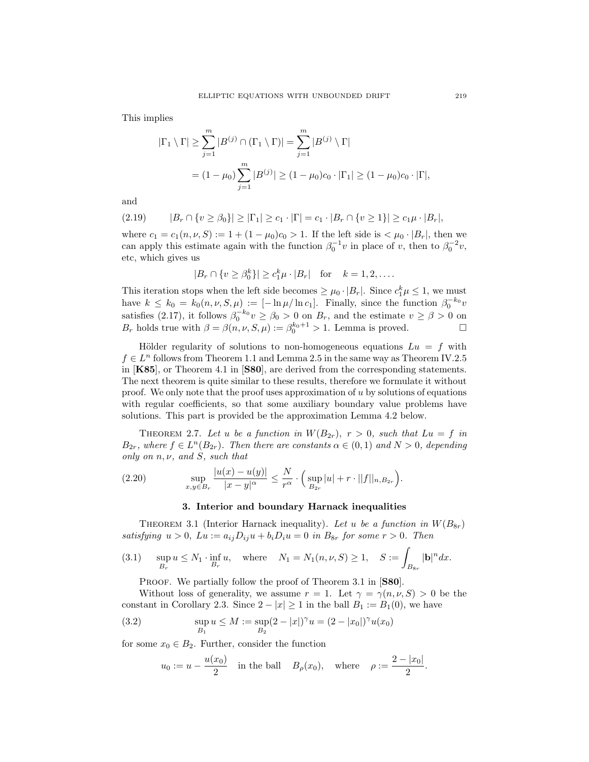This implies

$$
|\Gamma_1 \setminus \Gamma| \ge \sum_{j=1}^m |B^{(j)} \cap (\Gamma_1 \setminus \Gamma)| = \sum_{j=1}^m |B^{(j)} \setminus \Gamma|
$$
  
=  $(1 - \mu_0) \sum_{j=1}^m |B^{(j)}| \ge (1 - \mu_0)c_0 \cdot |\Gamma_1| \ge (1 - \mu_0)c_0 \cdot |\Gamma|,$ 

and

$$
(2.19) \qquad |B_r \cap \{v \ge \beta_0\}| \ge |\Gamma_1| \ge c_1 \cdot |\Gamma| = c_1 \cdot |B_r \cap \{v \ge 1\}| \ge c_1 \mu \cdot |B_r|,
$$

where  $c_1 = c_1(n, \nu, S) := 1 + (1 - \mu_0)c_0 > 1$ . If the left side is  $\langle \mu_0 \cdot |B_r|$ , then we can apply this estimate again with the function  $\beta_0^{-1}v$  in place of v, then to  $\beta_0^{-2}v$ , etc, which gives us

$$
|B_r \cap \{v \ge \beta_0^k\}| \ge c_1^k \mu \cdot |B_r|
$$
 for  $k = 1, 2, ....$ 

This iteration stops when the left side becomes  $\geq \mu_0 \cdot |B_r|$ . Since  $c_1^k \mu \leq 1$ , we must have  $k \leq k_0 = k_0(n, \nu, S, \mu) := [-\ln \mu / \ln c_1]$ . Finally, since the function  $\beta_0^{-k_0} v$ satisfies (2.17), it follows  $\beta_0^{-k_0} v \ge \beta_0 > 0$  on  $B_r$ , and the estimate  $v \ge \beta > 0$  on  $B_r$  holds true with  $\beta = \beta(n, \nu, S, \mu) := \beta_0^{k_0+1} > 1$ . Lemma is proved.

Hölder regularity of solutions to non-homogeneous equations  $Lu = f$  with  $f \in L^n$  follows from Theorem 1.1 and Lemma 2.5 in the same way as Theorem IV.2.5 in [K85], or Theorem 4.1 in [S80], are derived from the corresponding statements. The next theorem is quite similar to these results, therefore we formulate it without proof. We only note that the proof uses approximation of  $u$  by solutions of equations with regular coefficients, so that some auxiliary boundary value problems have solutions. This part is provided be the approximation Lemma 4.2 below.

THEOREM 2.7. Let u be a function in  $W(B_{2r})$ ,  $r > 0$ , such that  $Lu = f$  in  $B_{2r}$ , where  $f \in L^{n}(B_{2r})$ . Then there are constants  $\alpha \in (0,1)$  and  $N > 0$ , depending only on  $n, \nu$ , and  $S$ , such that

(2.20) 
$$
\sup_{x,y \in B_r} \frac{|u(x) - u(y)|}{|x - y|^{\alpha}} \leq \frac{N}{r^{\alpha}} \cdot \Big(\sup_{B_{2r}} |u| + r \cdot ||f||_{n, B_{2r}}\Big).
$$

### 3. Interior and boundary Harnack inequalities

THEOREM 3.1 (Interior Harnack inequality). Let u be a function in  $W(B_{8r})$ satisfying  $u > 0$ ,  $Lu := a_{ij}D_{ij}u + b_iD_iu = 0$  in  $B_{8r}$  for some  $r > 0$ . Then

(3.1) 
$$
\sup_{B_r} u \le N_1 \cdot \inf_{B_r} u
$$
, where  $N_1 = N_1(n, \nu, S) \ge 1$ ,  $S := \int_{B_{8r}} |\mathbf{b}|^n dx$ .

PROOF. We partially follow the proof of Theorem 3.1 in [S80].

Without loss of generality, we assume  $r = 1$ . Let  $\gamma = \gamma(n, \nu, S) > 0$  be the constant in Corollary 2.3. Since  $2 - |x| \ge 1$  in the ball  $B_1 := B_1(0)$ , we have

(3.2) 
$$
\sup_{B_1} u \leq M := \sup_{B_2} (2 - |x|)^{\gamma} u = (2 - |x_0|)^{\gamma} u(x_0)
$$

for some  $x_0 \in B_2$ . Further, consider the function

$$
u_0 := u - \frac{u(x_0)}{2}
$$
 in the ball  $B_\rho(x_0)$ , where  $\rho := \frac{2 - |x_0|}{2}$ .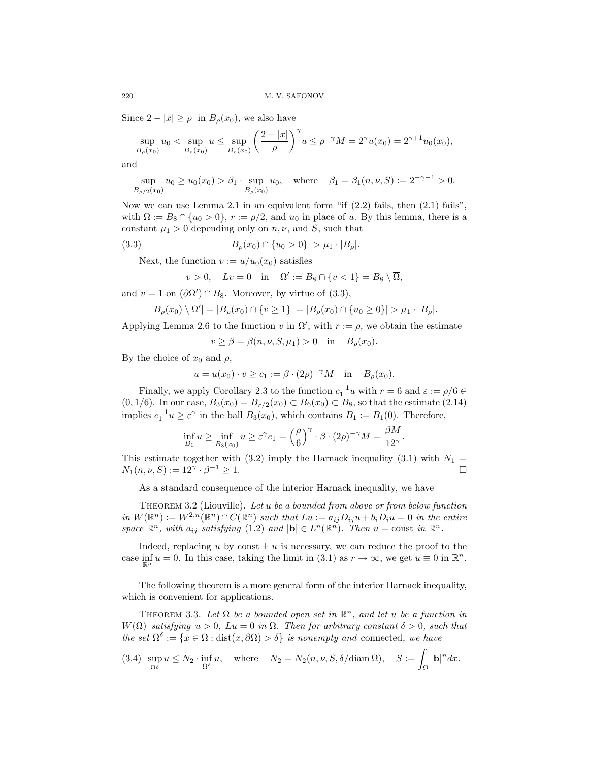Since  $2 - |x| \ge \rho$  in  $B_{\rho}(x_0)$ , we also have

$$
\sup_{B_{\rho}(x_0)} u_0 < \sup_{B_{\rho}(x_0)} u \leq \sup_{B_{\rho}(x_0)} \left(\frac{2-|x|}{\rho}\right)^{\gamma} u \leq \rho^{-\gamma} M = 2^{\gamma} u(x_0) = 2^{\gamma+1} u_0(x_0),
$$

and

$$
\sup_{B_{\rho/2}(x_0)} u_0 \ge u_0(x_0) > \beta_1 \cdot \sup_{B_{\rho}(x_0)} u_0, \quad \text{where} \quad \beta_1 = \beta_1(n, \nu, S) := 2^{-\gamma - 1} > 0.
$$

Now we can use Lemma 2.1 in an equivalent form "if  $(2.2)$  fails, then  $(2.1)$  fails", with  $\Omega := B_8 \cap \{u_0 > 0\}$ ,  $r := \rho/2$ , and  $u_0$  in place of u. By this lemma, there is a constant  $\mu_1 > 0$  depending only on  $n, \nu$ , and S, such that

$$
(3.3) \t\t |B_{\rho}(x_0) \cap \{u_0 > 0\}| > \mu_1 \cdot |B_{\rho}|.
$$

Next, the function  $v := u/u_0(x_0)$  satisfies

$$
v > 0, \quad Lv = 0 \quad \text{in} \quad \Omega' := B_8 \cap \{v < 1\} = B_8 \setminus \overline{\Omega},
$$

and  $v = 1$  on  $(\partial \Omega') \cap B_8$ . Moreover, by virtue of  $(3.3)$ ,

$$
|B_{\rho}(x_0) \setminus \Omega'| = |B_{\rho}(x_0) \cap \{v \ge 1\}| = |B_{\rho}(x_0) \cap \{u_0 \ge 0\}| > \mu_1 \cdot |B_{\rho}|.
$$

Applying Lemma 2.6 to the function v in  $\Omega'$ , with  $r := \rho$ , we obtain the estimate

 $v \geq \beta = \beta(n, \nu, S, \mu_1) > 0$  in  $B_{\rho}(x_0)$ .

By the choice of  $x_0$  and  $\rho$ ,

$$
u = u(x_0) \cdot v \ge c_1 := \beta \cdot (2\rho)^{-\gamma} M
$$
 in  $B_{\rho}(x_0)$ .

Finally, we apply Corollary 2.3 to the function  $c_1^{-1}u$  with  $r = 6$  and  $\varepsilon := \rho/6 \in$  $(0, 1/6)$ . In our case,  $B_3(x_0) = B_{r/2}(x_0) \subset B_6(x_0) \subset B_8$ , so that the estimate  $(2.14)$ implies  $c_1^{-1}u \geq \varepsilon^{\gamma}$  in the ball  $B_3(x_0)$ , which contains  $B_1 := B_1(0)$ . Therefore,

$$
\inf_{B_1} u \ge \inf_{B_3(x_0)} u \ge \varepsilon^{\gamma} c_1 = \left(\frac{\rho}{6}\right)^{\gamma} \cdot \beta \cdot (2\rho)^{-\gamma} M = \frac{\beta M}{12^{\gamma}}.
$$

This estimate together with (3.2) imply the Harnack inequality (3.1) with  $N_1 =$  $N_1(n, \nu, S) := 12^{\gamma} \cdot \beta^{-1} \ge 1.$ 

As a standard consequence of the interior Harnack inequality, we have

Theorem 3.2 (Liouville). Let u be a bounded from above or from below function in  $W(\mathbb{R}^n) := W^{2,n}(\mathbb{R}^n) \cap C(\mathbb{R}^n)$  such that  $Lu := a_{ij}D_{ij}u + b_iD_iu = 0$  in the entire space  $\mathbb{R}^n$ , with  $a_{ij}$  satisfying  $(1.2)$  and  $|\mathbf{b}| \in L^n(\mathbb{R}^n)$ . Then  $u = \text{const}$  in  $\mathbb{R}^n$ .

Indeed, replacing u by const  $\pm u$  is necessary, we can reduce the proof to the case  $\inf_{\mathbb{R}^n} u = 0$ . In this case, taking the limit in (3.1) as  $r \to \infty$ , we get  $u \equiv 0$  in  $\mathbb{R}^n$ .

The following theorem is a more general form of the interior Harnack inequality, which is convenient for applications.

THEOREM 3.3. Let  $\Omega$  be a bounded open set in  $\mathbb{R}^n$ , and let u be a function in  $W(\Omega)$  satisfying  $u > 0$ ,  $Lu = 0$  in  $\Omega$ . Then for arbitrary constant  $\delta > 0$ , such that the set  $\Omega^{\delta} := \{x \in \Omega : \text{dist}(x, \partial \Omega) > \delta\}$  is nonempty and connected, we have

(3.4) 
$$
\sup_{\Omega^{\delta}} u \leq N_2 \cdot \inf_{\Omega^{\delta}} u
$$
, where  $N_2 = N_2(n, \nu, S, \delta / \text{diam}\,\Omega)$ ,  $S := \int_{\Omega} |\mathbf{b}|^n dx$ .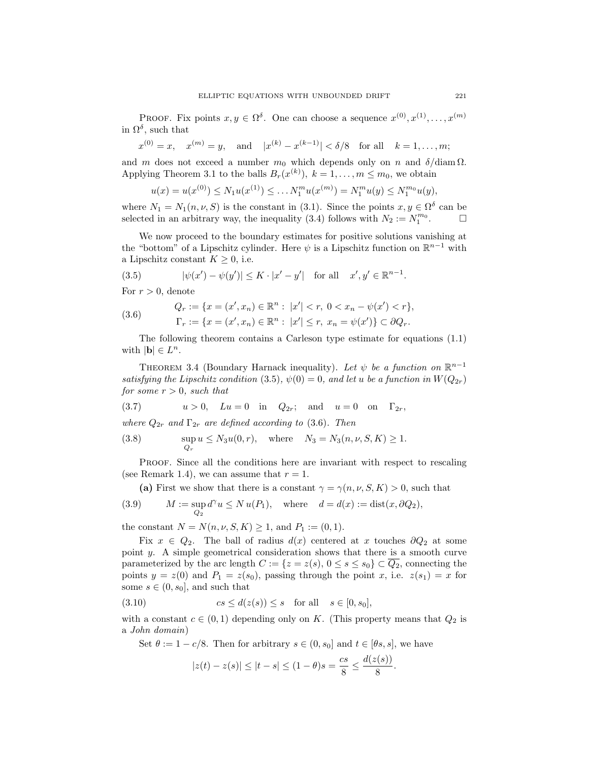PROOF. Fix points  $x, y \in \Omega^{\delta}$ . One can choose a sequence  $x^{(0)}, x^{(1)}, \ldots, x^{(m)}$ in  $\Omega^{\delta}$ , such that

$$
x^{(0)} = x
$$
,  $x^{(m)} = y$ , and  $|x^{(k)} - x^{(k-1)}| < \delta/8$  for all  $k = 1, ..., m$ ;

and m does not exceed a number  $m_0$  which depends only on n and  $\delta/diam \Omega$ . Applying Theorem 3.1 to the balls  $B_r(x^{(k)}), k = 1, ..., m \leq m_0$ , we obtain

$$
u(x) = u(x^{(0)}) \le N_1 u(x^{(1)}) \le \dots N_1^m u(x^{(m)}) = N_1^m u(y) \le N_1^{m_0} u(y),
$$

where  $N_1 = N_1(n, \nu, S)$  is the constant in (3.1). Since the points  $x, y \in \Omega^{\delta}$  can be selected in an arbitrary way, the inequality (3.4) follows with  $N_2 := N_1^{m_0}$ . □

We now proceed to the boundary estimates for positive solutions vanishing at the "bottom" of a Lipschitz cylinder. Here  $\psi$  is a Lipschitz function on  $\mathbb{R}^{n-1}$  with a Lipschitz constant  $K \geq 0$ , i.e.

(3.5) 
$$
|\psi(x') - \psi(y')| \le K \cdot |x' - y'|
$$
 for all  $x', y' \in \mathbb{R}^{n-1}$ .

For  $r > 0$ , denote

(3.6) 
$$
Q_r := \{x = (x', x_n) \in \mathbb{R}^n : |x'| < r, 0 < x_n - \psi(x') < r\},\newline \Gamma_r := \{x = (x', x_n) \in \mathbb{R}^n : |x'| \le r, x_n = \psi(x')\} \subset \partial Q_r.
$$

The following theorem contains a Carleson type estimate for equations (1.1) with  $|\mathbf{b}| \in L^n$ .

THEOREM 3.4 (Boundary Harnack inequality). Let  $\psi$  be a function on  $\mathbb{R}^{n-1}$ satisfying the Lipschitz condition (3.5),  $\psi(0) = 0$ , and let u be a function in  $W(Q_{2r})$ for some  $r > 0$ , such that

(3.7) 
$$
u > 0
$$
,  $Lu = 0$  in  $Q_{2r}$ ; and  $u = 0$  on  $\Gamma_{2r}$ ,

where  $Q_{2r}$  and  $\Gamma_{2r}$  are defined according to (3.6). Then

(3.8) 
$$
\sup_{Q_r} u \le N_3 u(0, r)
$$
, where  $N_3 = N_3(n, \nu, S, K) \ge 1$ .

Proof. Since all the conditions here are invariant with respect to rescaling (see Remark 1.4), we can assume that  $r = 1$ .

(a) First we show that there is a constant  $\gamma = \gamma(n, \nu, S, K) > 0$ , such that

(3.9) 
$$
M := \sup_{Q_2} d^{\gamma} u \le N u(P_1), \quad \text{where} \quad d = d(x) := \text{dist}(x, \partial Q_2),
$$

the constant  $N = N(n, \nu, S, K) \ge 1$ , and  $P_1 := (0, 1)$ .

Fix  $x \in Q_2$ . The ball of radius  $d(x)$  centered at x touches  $\partial Q_2$  at some point y. A simple geometrical consideration shows that there is a smooth curve parameterized by the arc length  $C := \{z = z(s), 0 \le s \le s_0\} \subset \overline{Q_2}$ , connecting the points  $y = z(0)$  and  $P_1 = z(s_0)$ , passing through the point x, i.e.  $z(s_1) = x$  for some  $s \in (0, s_0]$ , and such that

$$
(3.10) \t\t cs \le d(z(s)) \le s \t for all \t s \in [0, s_0],
$$

with a constant  $c \in (0,1)$  depending only on K. (This property means that  $Q_2$  is a John domain)

Set  $\theta := 1 - c/8$ . Then for arbitrary  $s \in (0, s_0]$  and  $t \in [\theta s, s]$ , we have

$$
|z(t) - z(s)| \le |t - s| \le (1 - \theta)s = \frac{cs}{8} \le \frac{d(z(s))}{8}.
$$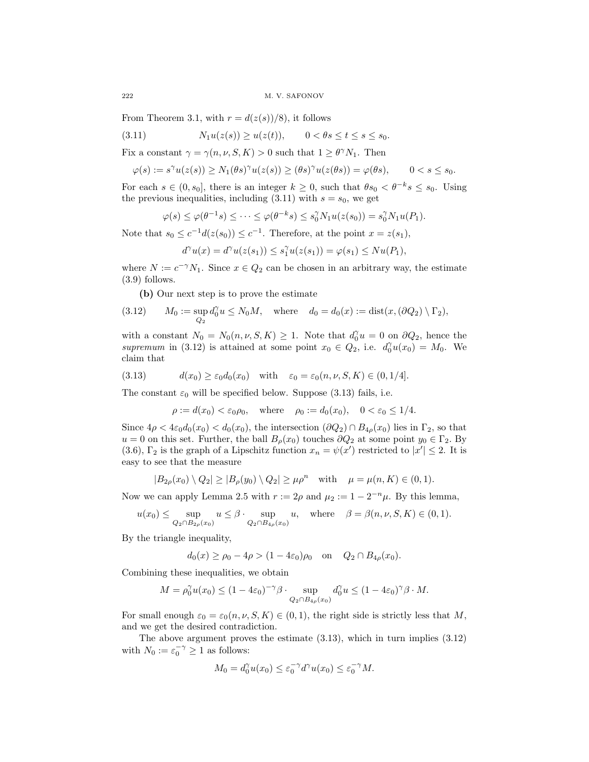From Theorem 3.1, with  $r = d(z(s))/8$ , it follows

$$
(3.11) \t\t N1u(z(s)) \ge u(z(t)), \t 0 < \theta s \le t \le s \le s_0.
$$

Fix a constant  $\gamma = \gamma(n, \nu, S, K) > 0$  such that  $1 \geq \theta^{\gamma} N_1$ . Then

$$
\varphi(s):=s^{\gamma}u(z(s))\geq N_1(\theta s)^{\gamma}u(z(s))\geq (\theta s)^{\gamma}u(z(\theta s))=\varphi(\theta s),\qquad 0
$$

For each  $s \in (0, s_0]$ , there is an integer  $k \geq 0$ , such that  $\theta s_0 < \theta^{-k} s \leq s_0$ . Using the previous inequalities, including  $(3.11)$  with  $s = s_0$ , we get

$$
\varphi(s) \leq \varphi(\theta^{-1}s) \leq \cdots \leq \varphi(\theta^{-k}s) \leq s_0^{\gamma} N_1 u(z(s_0)) = s_0^{\gamma} N_1 u(P_1).
$$

Note that  $s_0 \leq c^{-1}d(z(s_0)) \leq c^{-1}$ . Therefore, at the point  $x = z(s_1)$ ,

$$
d^{\gamma}u(x) = d^{\gamma}u(z(s_1)) \leq s_1^{\gamma}u(z(s_1)) = \varphi(s_1) \leq Nu(P_1),
$$

where  $N := c^{-\gamma} N_1$ . Since  $x \in Q_2$  can be chosen in an arbitrary way, the estimate (3.9) follows.

(b) Our next step is to prove the estimate

(3.12) 
$$
M_0 := \sup_{Q_2} d_0^{\gamma} u \le N_0 M, \text{ where } d_0 = d_0(x) := \text{dist}(x, (\partial Q_2) \setminus \Gamma_2),
$$

with a constant  $N_0 = N_0(n, \nu, S, K) \ge 1$ . Note that  $d_0^{\gamma} u = 0$  on  $\partial Q_2$ , hence the supremum in (3.12) is attained at some point  $x_0 \in Q_2$ , i.e.  $d_0^{\gamma} u(x_0) = M_0$ . We claim that

(3.13) 
$$
d(x_0) \geq \varepsilon_0 d_0(x_0) \quad \text{with} \quad \varepsilon_0 = \varepsilon_0(n, \nu, S, K) \in (0, 1/4].
$$

The constant  $\varepsilon_0$  will be specified below. Suppose (3.13) fails, i.e.

$$
\rho := d(x_0) < \varepsilon_0 \rho_0, \quad \text{where} \quad \rho_0 := d_0(x_0), \quad 0 < \varepsilon_0 \le 1/4.
$$

Since  $4\rho < 4\varepsilon_0 d_0(x_0) < d_0(x_0)$ , the intersection  $(\partial Q_2) \cap B_{4\rho}(x_0)$  lies in  $\Gamma_2$ , so that  $u = 0$  on this set. Further, the ball  $B_\rho(x_0)$  touches  $\partial Q_2$  at some point  $y_0 \in \Gamma_2$ . By (3.6),  $\Gamma_2$  is the graph of a Lipschitz function  $x_n = \psi(x')$  restricted to  $|x'| \leq 2$ . It is easy to see that the measure

$$
|B_{2\rho}(x_0)\setminus Q_2|\geq |B_{\rho}(y_0)\setminus Q_2|\geq \mu \rho^n \quad \text{with} \quad \mu=\mu(n,K)\in(0,1).
$$

Now we can apply Lemma 2.5 with  $r := 2\rho$  and  $\mu_2 := 1 - 2^{-n}\mu$ . By this lemma,

$$
u(x_0) \le \sup_{Q_2 \cap B_{2\rho}(x_0)} u \le \beta \cdot \sup_{Q_2 \cap B_{4\rho}(x_0)} u, \quad \text{where} \quad \beta = \beta(n, \nu, S, K) \in (0, 1).
$$

By the triangle inequality,

$$
d_0(x) \ge \rho_0 - 4\rho > (1 - 4\varepsilon_0)\rho_0
$$
 on  $Q_2 \cap B_{4\rho}(x_0)$ .

Combining these inequalities, we obtain

$$
M = \rho_0^{\gamma} u(x_0) \le (1 - 4\varepsilon_0)^{-\gamma} \beta \cdot \sup_{Q_2 \cap B_{4\rho}(x_0)} d_0^{\gamma} u \le (1 - 4\varepsilon_0)^{\gamma} \beta \cdot M.
$$

For small enough  $\varepsilon_0 = \varepsilon_0(n, \nu, S, K) \in (0, 1)$ , the right side is strictly less that M, and we get the desired contradiction.

The above argument proves the estimate  $(3.13)$ , which in turn implies  $(3.12)$ with  $N_0 := \varepsilon_0^{-\gamma} \ge 1$  as follows:

$$
M_0 = d_0^{\gamma} u(x_0) \le \varepsilon_0^{-\gamma} d^{\gamma} u(x_0) \le \varepsilon_0^{-\gamma} M.
$$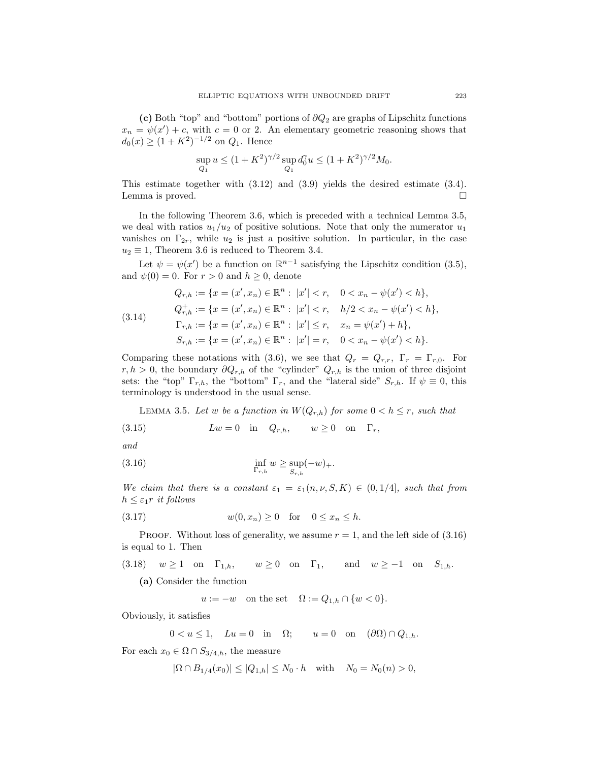(c) Both "top" and "bottom" portions of  $\partial Q_2$  are graphs of Lipschitz functions  $x_n = \psi(x') + c$ , with  $c = 0$  or 2. An elementary geometric reasoning shows that  $d_0(x) \ge (1 + K^2)^{-1/2}$  on  $Q_1$ . Hence

$$
\sup_{Q_1} u \le (1 + K^2)^{\gamma/2} \sup_{Q_1} d_0^{\gamma} u \le (1 + K^2)^{\gamma/2} M_0.
$$

This estimate together with (3.12) and (3.9) yields the desired estimate (3.4). Lemma is proved.

In the following Theorem 3.6, which is preceded with a technical Lemma 3.5, we deal with ratios  $u_1/u_2$  of positive solutions. Note that only the numerator  $u_1$ vanishes on  $\Gamma_{2r}$ , while  $u_2$  is just a positive solution. In particular, in the case  $u_2 \equiv 1$ , Theorem 3.6 is reduced to Theorem 3.4.

Let  $\psi = \psi(x')$  be a function on  $\mathbb{R}^{n-1}$  satisfying the Lipschitz condition (3.5), and  $\psi(0) = 0$ . For  $r > 0$  and  $h \geq 0$ , denote

(3.14)  
\n
$$
Q_{r,h} := \{x = (x', x_n) \in \mathbb{R}^n : |x'| < r, \quad 0 < x_n - \psi(x') < h\},
$$
\n
$$
Q_{r,h}^+ := \{x = (x', x_n) \in \mathbb{R}^n : |x'| < r, \quad h/2 < x_n - \psi(x') < h\},
$$
\n
$$
\Gamma_{r,h} := \{x = (x', x_n) \in \mathbb{R}^n : |x'| \le r, \quad x_n = \psi(x') + h\},
$$
\n
$$
S_{r,h} := \{x = (x', x_n) \in \mathbb{R}^n : |x'| = r, \quad 0 < x_n - \psi(x') < h\}.
$$

Comparing these notations with (3.6), we see that  $Q_r = Q_{r,r}$ ,  $\Gamma_r = \Gamma_{r,0}$ . For  $r, h > 0$ , the boundary  $\partial Q_{r,h}$  of the "cylinder"  $Q_{r,h}$  is the union of three disjoint sets: the "top"  $\Gamma_{r,h}$ , the "bottom"  $\Gamma_r$ , and the "lateral side"  $S_{r,h}$ . If  $\psi \equiv 0$ , this terminology is understood in the usual sense.

LEMMA 3.5. Let w be a function in  $W(Q_{r,h})$  for some  $0 < h \leq r$ , such that

(3.15) 
$$
Lw = 0 \quad \text{in} \quad Q_{r,h}, \qquad w \ge 0 \quad \text{on} \quad \Gamma_r,
$$

```
and
```

$$
\inf_{\Gamma_{r,h}} w \ge \sup_{S_{r,h}} (-w)_+.
$$

We claim that there is a constant  $\varepsilon_1 = \varepsilon_1(n, \nu, S, K) \in (0, 1/4]$ , such that from  $h \leq \varepsilon_1 r$  it follows

$$
(3.17) \t\t w(0, x_n) \ge 0 \tfor 0 \le x_n \le h.
$$

PROOF. Without loss of generality, we assume  $r = 1$ , and the left side of  $(3.16)$ is equal to 1. Then

(3.18)  $w \ge 1$  on  $\Gamma_{1,h}$ ,  $w \ge 0$  on  $\Gamma_1$ , and  $w \ge -1$  on  $S_{1,h}$ .

(a) Consider the function

$$
u := -w \quad \text{on the set} \quad \Omega := Q_{1,h} \cap \{w < 0\}.
$$

Obviously, it satisfies

$$
0 < u \le 1, \quad Lu = 0 \quad \text{in} \quad \Omega; \qquad u = 0 \quad \text{on} \quad (\partial \Omega) \cap Q_{1,h}.
$$

For each  $x_0 \in \Omega \cap S_{3/4,h}$ , the measure

$$
|\Omega \cap B_{1/4}(x_0)| \le |Q_{1,h}| \le N_0 \cdot h \quad \text{with} \quad N_0 = N_0(n) > 0,
$$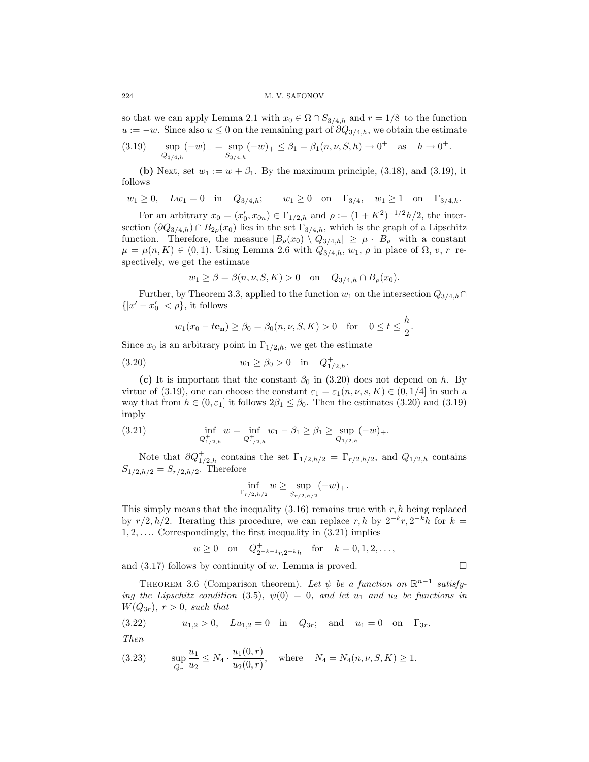#### 224 M. V. SAFONOV

so that we can apply Lemma 2.1 with  $x_0 \in \Omega \cap S_{3/4,h}$  and  $r = 1/8$  to the function  $u := -w$ . Since also  $u \leq 0$  on the remaining part of  $\partial Q_{3/4,h}$ , we obtain the estimate

$$
(3.19) \quad \sup_{Q_{3/4,h}} (-w)_+ = \sup_{S_{3/4,h}} (-w)_+ \leq \beta_1 = \beta_1(n,\nu,S,h) \to 0^+ \quad \text{as} \quad h \to 0^+.
$$

(b) Next, set  $w_1 := w + \beta_1$ . By the maximum principle, (3.18), and (3.19), it follows

$$
w_1 \geq 0, \quad Lw_1 = 0 \quad \text{in} \quad Q_{3/4,h}; \qquad w_1 \geq 0 \quad \text{on} \quad \Gamma_{3/4}, \quad w_1 \geq 1 \quad \text{on} \quad \Gamma_{3/4,h}.
$$

For an arbitrary  $x_0 = (x'_0, x_{0n}) \in \Gamma_{1/2,h}$  and  $\rho := (1 + K^2)^{-1/2} h/2$ , the intersection  $(\partial Q_{3/4,h}) \cap B_{2\rho}(x_0)$  lies in the set  $\Gamma_{3/4,h}$ , which is the graph of a Lipschitz function. Therefore, the measure  $|B_{\rho}(x_0) \setminus Q_{3/4,h}| \geq \mu \cdot |B_{\rho}|$  with a constant  $\mu = \mu(n, K) \in (0, 1)$ . Using Lemma 2.6 with  $Q_{3/4,h}, w_1, \rho$  in place of  $\Omega, v, r$  respectively, we get the estimate

$$
w_1 \ge \beta = \beta(n, \nu, S, K) > 0
$$
 on  $Q_{3/4,h} \cap B_{\rho}(x_0)$ .

Further, by Theorem 3.3, applied to the function  $w_1$  on the intersection  $Q_{3/4,h} \cap$  $\{|x'-x_0'| < \rho\}$ , it follows

$$
w_1(x_0 - t\mathbf{e_n}) \ge \beta_0 = \beta_0(n, \nu, S, K) > 0
$$
 for  $0 \le t \le \frac{h}{2}$ .

Since  $x_0$  is an arbitrary point in  $\Gamma_{1/2,h}$ , we get the estimate

(3.20) 
$$
w_1 \ge \beta_0 > 0 \quad \text{in} \quad Q_{1/2,h}^+.
$$

(c) It is important that the constant  $\beta_0$  in (3.20) does not depend on h. By virtue of (3.19), one can choose the constant  $\varepsilon_1 = \varepsilon_1(n, \nu, s, K) \in (0, 1/4]$  in such a way that from  $h \in (0, \varepsilon_1]$  it follows  $2\beta_1 \leq \beta_0$ . Then the estimates (3.20) and (3.19) imply

(3.21) 
$$
\inf_{Q_{1/2,h}^+} w = \inf_{Q_{1/2,h}^+} w_1 - \beta_1 \ge \beta_1 \ge \sup_{Q_{1/2,h}} (-w)_+.
$$

Note that  $\partial Q^+_{1/2,h}$  contains the set  $\Gamma_{1/2,h/2} = \Gamma_{r/2,h/2}$ , and  $Q_{1/2,h}$  contains  $S_{1/2,h/2} = S_{r/2,h/2}$ . Therefore

$$
\inf_{\Gamma_{r/2,h/2}} w \ge \sup_{S_{r/2,h/2}} (-w)_+.
$$

This simply means that the inequality  $(3.16)$  remains true with r, h being replaced by  $r/2$ ,  $h/2$ . Iterating this procedure, we can replace r, h by  $2^{-k}r$ ,  $2^{-k}h$  for  $k =$  $1, 2, \ldots$  Correspondingly, the first inequality in  $(3.21)$  implies

$$
w \ge 0
$$
 on  $Q_{2^{-k-1}r,2^{-k}h}^+$  for  $k = 0, 1, 2, ...$ ,

and  $(3.17)$  follows by continuity of w. Lemma is proved.

THEOREM 3.6 (Comparison theorem). Let  $\psi$  be a function on  $\mathbb{R}^{n-1}$  satisfying the Lipschitz condition (3.5),  $\psi(0) = 0$ , and let  $u_1$  and  $u_2$  be functions in  $W(Q_{3r}), r > 0$ , such that

(3.22) 
$$
u_{1,2} > 0
$$
,  $Lu_{1,2} = 0$  in  $Q_{3r}$ ; and  $u_1 = 0$  on  $\Gamma_{3r}$ .

Then

(3.23) 
$$
\sup_{Q_r} \frac{u_1}{u_2} \le N_4 \cdot \frac{u_1(0,r)}{u_2(0,r)}, \text{ where } N_4 = N_4(n,\nu,S,K) \ge 1.
$$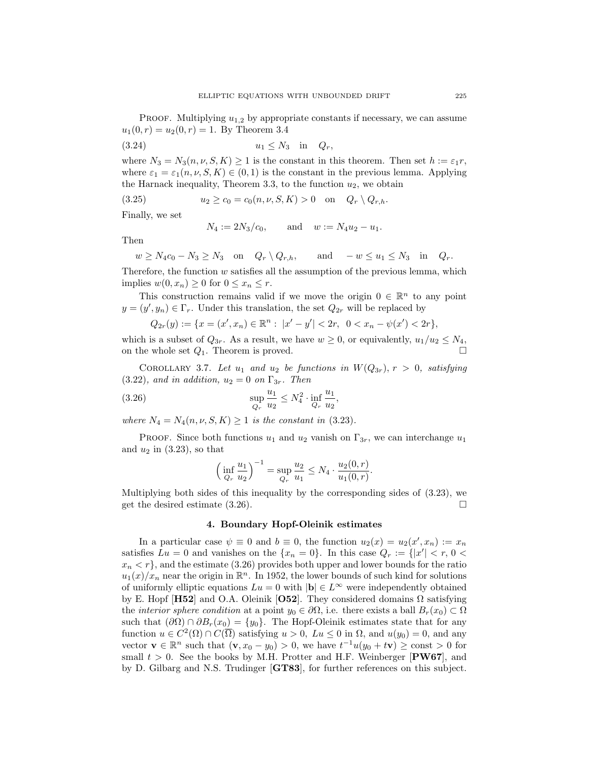PROOF. Multiplying  $u_{1,2}$  by appropriate constants if necessary, we can assume  $u_1(0,r) = u_2(0,r) = 1$ . By Theorem 3.4

$$
(3.24) \t\t\t u_1 \le N_3 \t\t in \tQ_r,
$$

where  $N_3 = N_3(n, \nu, S, K) \ge 1$  is the constant in this theorem. Then set  $h := \varepsilon_1 r$ , where  $\varepsilon_1 = \varepsilon_1(n, \nu, S, K) \in (0, 1)$  is the constant in the previous lemma. Applying the Harnack inequality, Theorem 3.3, to the function  $u_2$ , we obtain

(3.25) 
$$
u_2 \ge c_0 = c_0(n, \nu, S, K) > 0
$$
 on  $Q_r \setminus Q_{r,h}$ .

Finally, we set

$$
N_4 := 2N_3/c_0
$$
, and  $w := N_4u_2 - u_1$ .

Then

$$
w \ge N_4c_0 - N_3 \ge N_3
$$
 on  $Q_r \setminus Q_{r,h}$ , and  $-w \le u_1 \le N_3$  in  $Q_r$ .

Therefore, the function  $w$  satisfies all the assumption of the previous lemma, which implies  $w(0, x_n) \geq 0$  for  $0 \leq x_n \leq r$ .

This construction remains valid if we move the origin  $0 \in \mathbb{R}^n$  to any point  $y = (y', y_n) \in \Gamma_r$ . Under this translation, the set  $Q_{2r}$  will be replaced by

$$
Q_{2r}(y) := \{ x = (x', x_n) \in \mathbb{R}^n : |x' - y'| < 2r, \ \ 0 < x_n - \psi(x') < 2r \},
$$

which is a subset of  $Q_{3r}$ . As a result, we have  $w \ge 0$ , or equivalently,  $u_1/u_2 \le N_4$ , on the whole set  $Q_1$ . Theorem is proved.

COROLLARY 3.7. Let  $u_1$  and  $u_2$  be functions in  $W(Q_{3r}), r > 0$ , satisfying  $(3.22)$ , and in addition,  $u_2 = 0$  on  $\Gamma_{3r}$ . Then

(3.26) 
$$
\sup_{Q_r} \frac{u_1}{u_2} \leq N_4^2 \cdot \inf_{Q_r} \frac{u_1}{u_2},
$$

where  $N_4 = N_4(n, \nu, S, K) \geq 1$  is the constant in (3.23).

PROOF. Since both functions  $u_1$  and  $u_2$  vanish on  $\Gamma_{3r}$ , we can interchange  $u_1$ and  $u_2$  in (3.23), so that

$$
\left(\inf_{Q_r} \frac{u_1}{u_2}\right)^{-1} = \sup_{Q_r} \frac{u_2}{u_1} \le N_4 \cdot \frac{u_2(0,r)}{u_1(0,r)}.
$$

Multiplying both sides of this inequality by the corresponding sides of (3.23), we get the desired estimate  $(3.26)$ .

#### 4. Boundary Hopf-Oleinik estimates

In a particular case  $\psi \equiv 0$  and  $b \equiv 0$ , the function  $u_2(x) = u_2(x', x_n) := x_n$ satisfies  $Lu = 0$  and vanishes on the  $\{x_n = 0\}$ . In this case  $Q_r := \{|x'| < r, 0$  $x_n < r$ , and the estimate (3.26) provides both upper and lower bounds for the ratio  $u_1(x)/x_n$  near the origin in  $\mathbb{R}^n$ . In 1952, the lower bounds of such kind for solutions of uniformly elliptic equations  $Lu = 0$  with  $|\mathbf{b}| \in L^{\infty}$  were independently obtained by E. Hopf [H52] and O.A. Oleinik [O52]. They considered domains  $\Omega$  satisfying the *interior sphere condition* at a point  $y_0 \in \partial\Omega$ , i.e. there exists a ball  $B_r(x_0) \subset \Omega$ such that  $(\partial\Omega) \cap \partial B_r(x_0) = \{y_0\}$ . The Hopf-Oleinik estimates state that for any function  $u \in C^2(\Omega) \cap C(\overline{\Omega})$  satisfying  $u > 0$ ,  $Lu \leq 0$  in  $\Omega$ , and  $u(y_0) = 0$ , and any vector  $\mathbf{v} \in \mathbb{R}^n$  such that  $(\mathbf{v}, x_0 - y_0) > 0$ , we have  $t^{-1}u(y_0 + t\mathbf{v}) \ge \text{const} > 0$  for small  $t > 0$ . See the books by M.H. Protter and H.F. Weinberger [PW67], and by D. Gilbarg and N.S. Trudinger [GT83], for further references on this subject.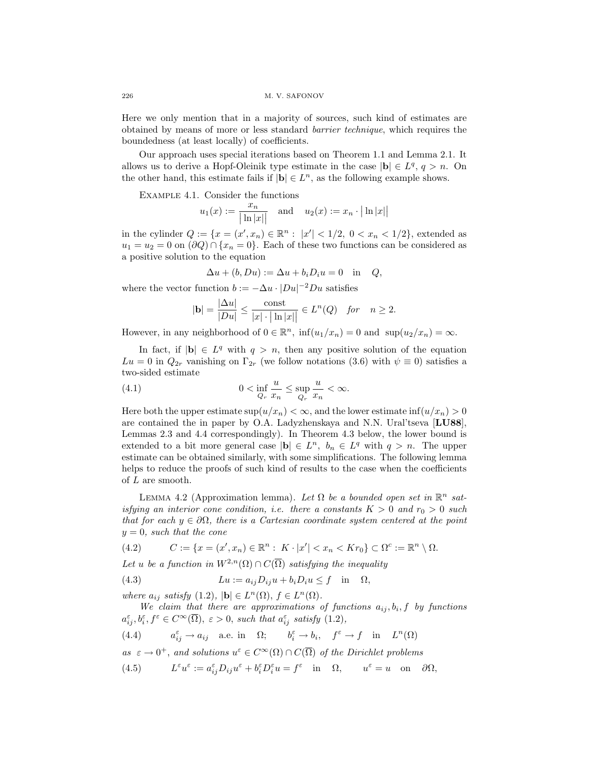Here we only mention that in a majority of sources, such kind of estimates are obtained by means of more or less standard barrier technique, which requires the boundedness (at least locally) of coefficients.

Our approach uses special iterations based on Theorem 1.1 and Lemma 2.1. It allows us to derive a Hopf-Oleinik type estimate in the case  $|\mathbf{b}| \in L^q, q > n$ . On the other hand, this estimate fails if  $|\mathbf{b}| \in L^n$ , as the following example shows.

Example 4.1. Consider the functions

$$
u_1(x) := \frac{x_n}{|\ln |x||}
$$
 and  $u_2(x) := x_n \cdot |\ln |x||$ 

in the cylinder  $Q := \{x = (x', x_n) \in \mathbb{R}^n : |x'| < 1/2, 0 < x_n < 1/2\}$ , extended as  $u_1 = u_2 = 0$  on  $(\partial Q) \cap \{x_n = 0\}$ . Each of these two functions can be considered as a positive solution to the equation

$$
\Delta u + (b, Du) := \Delta u + b_i D_i u = 0 \quad \text{in} \quad Q,
$$

where the vector function  $b := -\Delta u \cdot |Du|^{-2}Du$  satisfies

$$
|\mathbf{b}| = \frac{|\Delta u|}{|Du|} \le \frac{\text{const}}{|x| \cdot |\ln |x||} \in L^n(Q) \quad \text{for} \quad n \ge 2.
$$

However, in any neighborhood of  $0 \in \mathbb{R}^n$ ,  $\inf(u_1/x_n) = 0$  and  $\sup(u_2/x_n) = \infty$ .

In fact, if  $|\mathbf{b}| \in L^q$  with  $q > n$ , then any positive solution of the equation  $Lu = 0$  in  $Q_{2r}$  vanishing on  $\Gamma_{2r}$  (we follow notations (3.6) with  $\psi \equiv 0$ ) satisfies a two-sided estimate

(4.1) 
$$
0 < \inf_{Q_r} \frac{u}{x_n} \leq \sup_{Q_r} \frac{u}{x_n} < \infty.
$$

Here both the upper estimate  $\sup(u/x_n) < \infty$ , and the lower estimate  $\inf(u/x_n) > 0$ are contained the in paper by O.A. Ladyzhenskaya and N.N. Ural'tseva [LU88], Lemmas 2.3 and 4.4 correspondingly). In Theorem 4.3 below, the lower bound is extended to a bit more general case  $|\mathbf{b}| \in L^n$ ,  $b_n \in L^q$  with  $q > n$ . The upper estimate can be obtained similarly, with some simplifications. The following lemma helps to reduce the proofs of such kind of results to the case when the coefficients of  $L$  are smooth.

LEMMA 4.2 (Approximation lemma). Let  $\Omega$  be a bounded open set in  $\mathbb{R}^n$  satisfying an interior cone condition, i.e. there a constants  $K > 0$  and  $r_0 > 0$  such that for each  $y \in \partial \Omega$ , there is a Cartesian coordinate system centered at the point  $y = 0$ , such that the cone

(4.2) 
$$
C := \{x = (x', x_n) \in \mathbb{R}^n : K \cdot |x'| < x_n < K r_0\} \subset \Omega^c := \mathbb{R}^n \setminus \Omega.
$$

Let u be a function in  $W^{2,n}(\Omega) \cap C(\overline{\Omega})$  satisfying the inequality

(4.3) 
$$
Lu := a_{ij}D_{ij}u + b_iD_iu \leq f \quad \text{in} \quad \Omega,
$$

where  $a_{ij}$  satisfy  $(1.2)$ ,  $|\mathbf{b}| \in L^n(\Omega)$ ,  $f \in L^n(\Omega)$ .

We claim that there are approximations of functions  $a_{ij}, b_i, f$  by functions  $a_{ij}^{\varepsilon}, b_i^{\varepsilon}, f^{\varepsilon} \in C^{\infty}(\overline{\Omega}), \varepsilon > 0$ , such that  $a_{ij}^{\varepsilon}$  satisfy  $(1.2)$ ,

(4.4) 
$$
a_{ij}^{\varepsilon} \to a_{ij}
$$
 a.e. in  $\Omega$ ;  $b_i^{\varepsilon} \to b_i$ ,  $f^{\varepsilon} \to f$  in  $L^n(\Omega)$ 

as  $\varepsilon \to 0^+$ , and solutions  $u^{\varepsilon} \in C^{\infty}(\Omega) \cap C(\overline{\Omega})$  of the Dirichlet problems

(4.5)  $L^{\varepsilon}u^{\varepsilon} := a_{ij}^{\varepsilon}D_{ij}u^{\varepsilon} + b_{i}^{\varepsilon}D_{i}^{\varepsilon}u = f^{\varepsilon} \text{ in } \Omega, \quad u^{\varepsilon} = u \text{ on } \partial\Omega,$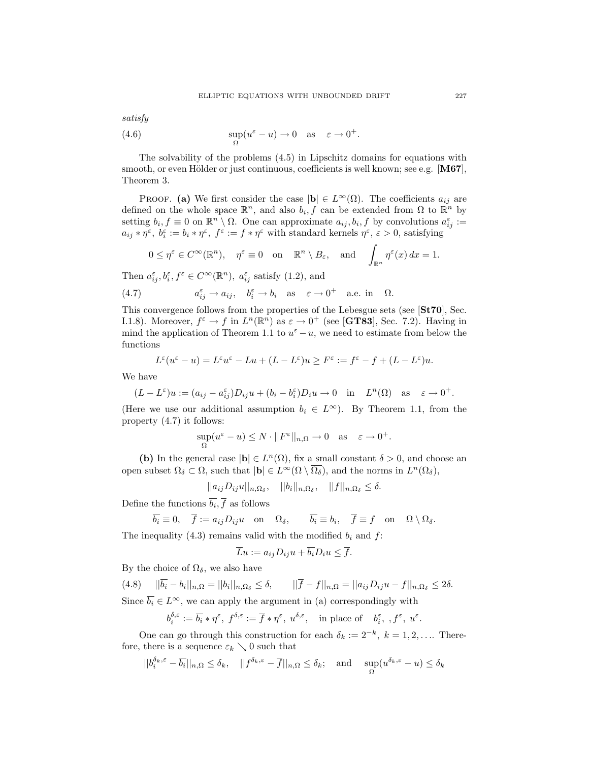satisfy  
(4.6) 
$$
\sup_{\Omega}(u^{\varepsilon} - u) \to 0
$$
 as  $\varepsilon \to 0^{+}$ .

The solvability of the problems (4.5) in Lipschitz domains for equations with smooth, or even Hölder or just continuous, coefficients is well known; see e.g.  $[M67]$ , Theorem 3.

PROOF. (a) We first consider the case  $|\mathbf{b}| \in L^{\infty}(\Omega)$ . The coefficients  $a_{ij}$  are defined on the whole space  $\mathbb{R}^n$ , and also  $b_i, f$  can be extended from  $\Omega$  to  $\mathbb{R}^n$  by setting  $b_i, f \equiv 0$  on  $\mathbb{R}^n \setminus \Omega$ . One can approximate  $a_{ij}, b_i, f$  by convolutions  $a_{ij}^{\varepsilon} :=$  $a_{ij} * \eta^{\varepsilon}, b_i^{\varepsilon} := b_i * \eta^{\varepsilon}, f^{\varepsilon} := f * \eta^{\varepsilon}$  with standard kernels  $\eta^{\varepsilon}, \varepsilon > 0$ , satisfying

$$
0 \le \eta^{\varepsilon} \in C^{\infty}(\mathbb{R}^n)
$$
,  $\eta^{\varepsilon} \equiv 0$  on  $\mathbb{R}^n \setminus B_{\varepsilon}$ , and  $\int_{\mathbb{R}^n} \eta^{\varepsilon}(x) dx = 1$ .

Then  $a_{ij}^{\varepsilon}, b_i^{\varepsilon}, f^{\varepsilon} \in C^{\infty}(\mathbb{R}^n)$ ,  $a_{ij}^{\varepsilon}$  satisfy (1.2), and

(4.7) 
$$
a_{ij}^{\varepsilon} \to a_{ij}, \quad b_i^{\varepsilon} \to b_i \quad \text{as} \quad \varepsilon \to 0^+ \quad \text{a.e. in} \quad \Omega.
$$

This convergence follows from the properties of the Lebesgue sets (see [St70], Sec. I.1.8). Moreover,  $f^{\varepsilon} \to f$  in  $L^{n}(\mathbb{R}^{n})$  as  $\varepsilon \to 0^{+}$  (see [**GT83**], Sec. 7.2). Having in mind the application of Theorem 1.1 to  $u^{\varepsilon} - u$ , we need to estimate from below the functions

$$
L^\varepsilon(u^\varepsilon-u)=L^\varepsilon u^\varepsilon-Lu+(L-L^\varepsilon)u\geq F^\varepsilon:=f^\varepsilon-f+(L-L^\varepsilon)u.
$$

We have

$$
(L - L^{\varepsilon})u := (a_{ij} - a_{ij}^{\varepsilon})D_{ij}u + (b_i - b_i^{\varepsilon})D_i u \to 0 \quad \text{in} \quad L^n(\Omega) \quad \text{as} \quad \varepsilon \to 0^+.
$$

(Here we use our additional assumption  $b_i \in L^{\infty}$ ). By Theorem 1.1, from the property (4.7) it follows:

$$
\sup_{\Omega} (u^{\varepsilon} - u) \le N \cdot ||F^{\varepsilon}||_{n,\Omega} \to 0 \quad \text{as} \quad \varepsilon \to 0^{+}.
$$

(b) In the general case  $|\mathbf{b}| \in L^n(\Omega)$ , fix a small constant  $\delta > 0$ , and choose an open subset  $\Omega_{\delta} \subset \Omega$ , such that  $|\mathbf{b}| \in L^{\infty}(\Omega \setminus \overline{\Omega_{\delta}})$ , and the norms in  $L^{n}(\Omega_{\delta}),$ 

 $||a_{ij}D_{ij}u||_{n,\Omega_\delta}, \quad ||b_i||_{n,\Omega_\delta}, \quad ||f||_{n,\Omega_\delta} \leq \delta.$ 

Define the functions  $b_i, f$  as follows

$$
\overline{b_i} \equiv 0
$$
,  $\overline{f} := a_{ij} D_{ij} u$  on  $\Omega_{\delta}$ ,  $\overline{b_i} \equiv b_i$ ,  $\overline{f} \equiv f$  on  $\Omega \setminus \Omega_{\delta}$ .

The inequality (4.3) remains valid with the modified  $b_i$  and  $f$ :

$$
\overline{L}u := a_{ij}D_{ij}u + \overline{b_i}D_iu \le \overline{f}.
$$

By the choice of  $\Omega_{\delta}$ , we also have

$$
(4.8)\qquad ||\overline{b_i} - b_i||_{n,\Omega} = ||b_i||_{n,\Omega_\delta} \le \delta, \qquad ||\overline{f} - f||_{n,\Omega} = ||a_{ij}D_{ij}u - f||_{n,\Omega_\delta} \le 2\delta.
$$

Since  $\overline{b_i} \in L^{\infty}$ , we can apply the argument in (a) correspondingly with

$$
b^{\delta,\varepsilon}_i:=\overline{b_i}*\eta^\varepsilon,\ f^{\delta,\varepsilon}:=\overline{f}*\eta^\varepsilon,\ u^{\delta,\varepsilon},\quad\text{in place of}\quad b_i^\varepsilon,\ ,f^\varepsilon,\ u^\varepsilon.
$$

One can go through this construction for each  $\delta_k := 2^{-k}, k = 1, 2, \dots$  Therefore, there is a sequence  $\varepsilon_k \searrow 0$  such that

$$
||b_i^{\delta_k,\varepsilon}-\overline{b_i}||_{n,\Omega} \le \delta_k, \quad ||f^{\delta_k,\varepsilon}-\overline{f}||_{n,\Omega} \le \delta_k; \quad \text{and} \quad \sup_{\Omega}(u^{\delta_k,\varepsilon}-u) \le \delta_k
$$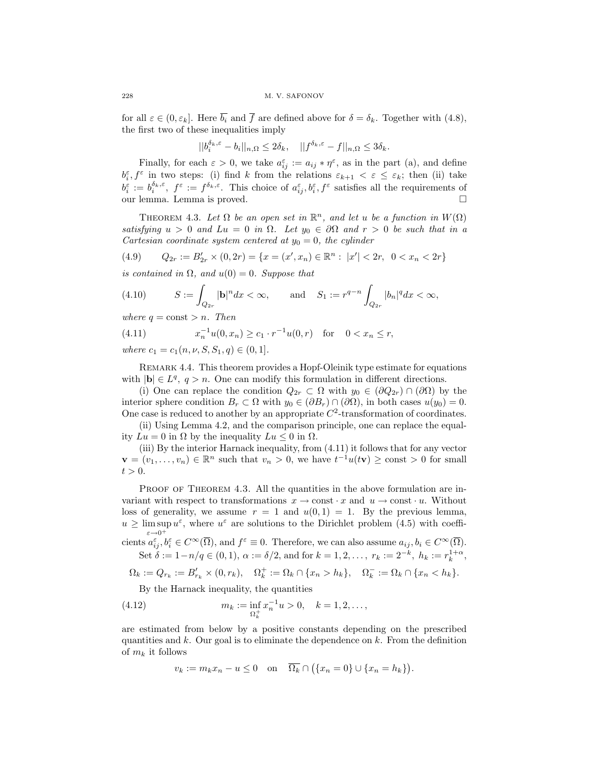for all  $\varepsilon \in (0, \varepsilon_k]$ . Here  $\overline{b_i}$  and  $\overline{f}$  are defined above for  $\delta = \delta_k$ . Together with (4.8), the first two of these inequalities imply

$$
||b_i^{\delta_k,\varepsilon} - b_i||_{n,\Omega} \le 2\delta_k, \quad ||f^{\delta_k,\varepsilon} - f||_{n,\Omega} \le 3\delta_k.
$$

Finally, for each  $\varepsilon > 0$ , we take  $a_{ij}^{\varepsilon} := a_{ij} * \eta^{\varepsilon}$ , as in the part (a), and define  $b_i^{\varepsilon}, f^{\varepsilon}$  in two steps: (i) find k from the relations  $\varepsilon_{k+1} < \varepsilon \leq \varepsilon_k$ ; then (ii) take  $b_i^{\varepsilon} := b_i^{\delta_k, \varepsilon}, \ f^{\varepsilon} := f^{\delta_k, \varepsilon}.$  This choice of  $a_{ij}^{\varepsilon}, b_i^{\varepsilon}, f^{\varepsilon}$  satisfies all the requirements of our lemma. Lemma is proved.

THEOREM 4.3. Let  $\Omega$  be an open set in  $\mathbb{R}^n$ , and let u be a function in  $W(\Omega)$ satisfying  $u > 0$  and  $Lu = 0$  in  $\Omega$ . Let  $y_0 \in \partial \Omega$  and  $r > 0$  be such that in a Cartesian coordinate system centered at  $y_0 = 0$ , the cylinder

$$
(4.9) \qquad Q_{2r} := B'_{2r} \times (0, 2r) = \{x = (x', x_n) \in \mathbb{R}^n : |x'| < 2r, \ \ 0 < x_n < 2r\}
$$

is contained in  $\Omega$ , and  $u(0) = 0$ . Suppose that

(4.10) 
$$
S := \int_{Q_{2r}} |\mathbf{b}|^n dx < \infty, \quad \text{and} \quad S_1 := r^{q-n} \int_{Q_{2r}} |b_n|^q dx < \infty,
$$

where  $q = \text{const} > n$ . Then

(4.11) 
$$
x_n^{-1}u(0, x_n) \ge c_1 \cdot r^{-1}u(0, r) \text{ for } 0 < x_n \le r,
$$

where  $c_1 = c_1(n, \nu, S, S_1, q) \in (0, 1].$ 

Remark 4.4. This theorem provides a Hopf-Oleinik type estimate for equations with  $|\mathbf{b}| \in L^q$ ,  $q > n$ . One can modify this formulation in different directions.

(i) One can replace the condition  $Q_{2r} \subset \Omega$  with  $y_0 \in (\partial Q_{2r}) \cap (\partial \Omega)$  by the interior sphere condition  $B_r \subset \Omega$  with  $y_0 \in (\partial B_r) \cap (\partial \Omega)$ , in both cases  $u(y_0) = 0$ . One case is reduced to another by an appropriate  $C<sup>2</sup>$ -transformation of coordinates.

(ii) Using Lemma 4.2, and the comparison principle, one can replace the equality  $Lu = 0$  in  $\Omega$  by the inequality  $Lu \leq 0$  in  $\Omega$ .

(iii) By the interior Harnack inequality, from (4.11) it follows that for any vector  $\mathbf{v} = (v_1, \ldots, v_n) \in \mathbb{R}^n$  such that  $v_n > 0$ , we have  $t^{-1}u(t\mathbf{v}) \ge \text{const} > 0$  for small  $t > 0$ .

PROOF OF THEOREM 4.3. All the quantities in the above formulation are invariant with respect to transformations  $x \to \text{const} \cdot x$  and  $u \to \text{const} \cdot u$ . Without loss of generality, we assume  $r = 1$  and  $u(0, 1) = 1$ . By the previous lemma,  $u \geq \limsup u^{\varepsilon}$ , where  $u^{\varepsilon}$  are solutions to the Dirichlet problem (4.5) with coeffi- $\varepsilon \rightarrow 0^+$ 

cients  $a_{ij}^{\varepsilon}, b_i^{\varepsilon} \in C^{\infty}(\overline{\Omega})$ , and  $f^{\varepsilon} \equiv 0$ . Therefore, we can also assume  $a_{ij}, b_i \in C^{\infty}(\overline{\Omega})$ . Set  $\delta := 1 - n/q \in (0, 1), \ \alpha := \delta/2$ , and for  $k = 1, 2, \dots, r_k := 2^{-k}, \ h_k := r_k^{1+\alpha}$ ,

$$
\Omega_k:=Q_{r_k}:=B'_{r_k}\times (0,r_k),\quad \Omega_k^+:=\Omega_k\cap \{x_n>h_k\},\quad \Omega_k^-:=\Omega_k\cap \{x_n
$$

By the Harnack inequality, the quantities

(4.12) 
$$
m_k := \inf_{\Omega_k^+} x_n^{-1} u > 0, \quad k = 1, 2, \dots,
$$

are estimated from below by a positive constants depending on the prescribed quantities and  $k$ . Our goal is to eliminate the dependence on  $k$ . From the definition of  $m_k$  it follows

$$
v_k := m_k x_n - u \le 0 \quad \text{on} \quad \overline{\Omega_k} \cap (\{x_n = 0\} \cup \{x_n = h_k\}).
$$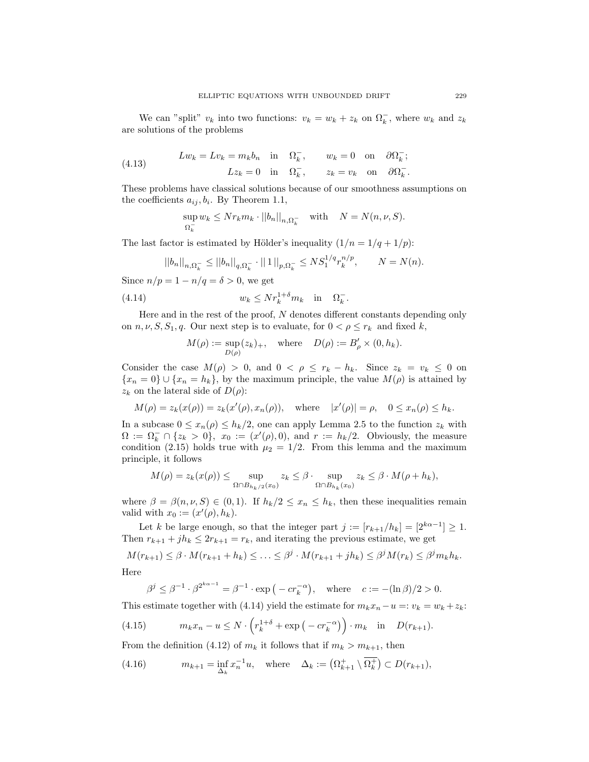We can "split"  $v_k$  into two functions:  $v_k = w_k + z_k$  on  $\Omega_k^-$ , where  $w_k$  and  $z_k$ are solutions of the problems

(4.13) 
$$
Lw_k = Lv_k = m_k b_n \text{ in } \Omega_k^-, \qquad w_k = 0 \text{ on } \partial \Omega_k^+;
$$

$$
Lz_k = 0 \text{ in } \Omega_k^-, \qquad z_k = v_k \text{ on } \partial \Omega_k^-.
$$

These problems have classical solutions because of our smoothness assumptions on the coefficients  $a_{ij}, b_i$ . By Theorem 1.1,

$$
\sup_{\Omega_k^-} w_k \leq N r_k m_k \cdot ||b_n||_{n, \Omega_k^-} \quad \text{with} \quad N = N(n, \nu, S).
$$

The last factor is estimated by Hölder's inequality  $(1/n = 1/q + 1/p)$ :

$$
||b_n||_{n,\Omega_k^-} \le ||b_n||_{q,\Omega_k^-} \cdot ||1||_{p,\Omega_k^-} \le N S_1^{1/q} r_k^{n/p}, \qquad N = N(n).
$$

Since  $n/p = 1 - n/q = \delta > 0$ , we get

(4.14) 
$$
w_k \leq N r_k^{1+\delta} m_k \quad \text{in} \quad \Omega_k^-.
$$

Here and in the rest of the proof, N denotes different constants depending only on  $n, \nu, S, S_1, q$ . Our next step is to evaluate, for  $0 < \rho \leq r_k$  and fixed k,

$$
M(\rho) := \sup_{D(\rho)} (z_k)_+, \quad \text{where} \quad D(\rho) := B'_{\rho} \times (0, h_k).
$$

Consider the case  $M(\rho) > 0$ , and  $0 < \rho \leq r_k - h_k$ . Since  $z_k = v_k \leq 0$  on  ${x_n = 0}$  ∪  ${x_n = h_k}$ , by the maximum principle, the value  $M(\rho)$  is attained by  $z_k$  on the lateral side of  $D(\rho)$ :

$$
M(\rho) = z_k(x(\rho)) = z_k(x'(\rho), x_n(\rho)),
$$
 where  $|x'(\rho)| = \rho, 0 \le x_n(\rho) \le h_k.$ 

In a subcase  $0 \leq x_n(\rho) \leq h_k/2$ , one can apply Lemma 2.5 to the function  $z_k$  with  $\Omega := \Omega_k^- \cap \{z_k > 0\}, \ x_0 := (x'(\rho), 0), \text{ and } r := h_k/2.$  Obviously, the measure condition (2.15) holds true with  $\mu_2 = 1/2$ . From this lemma and the maximum principle, it follows

$$
M(\rho) = z_k(x(\rho)) \le \sup_{\Omega \cap B_{h_k/2}(x_0)} z_k \le \beta \cdot \sup_{\Omega \cap B_{h_k}(x_0)} z_k \le \beta \cdot M(\rho + h_k),
$$

where  $\beta = \beta(n, \nu, S) \in (0, 1)$ . If  $h_k/2 \leq x_n \leq h_k$ , then these inequalities remain valid with  $x_0 := (x'(\rho), h_k)$ .

Let k be large enough, so that the integer part  $j := [r_{k+1}/h_k] = [2^{k\alpha-1}] \ge 1$ . Then  $r_{k+1} + jh_k \leq 2r_{k+1} = r_k$ , and iterating the previous estimate, we get

 $M(r_{k+1}) \leq \beta \cdot M(r_{k+1} + h_k) \leq \ldots \leq \beta^j \cdot M(r_{k+1} + jh_k) \leq \beta^j M(r_k) \leq \beta^j m_k h_k.$ 

Here

$$
\beta^j \le \beta^{-1} \cdot \beta^{2^{k\alpha - 1}} = \beta^{-1} \cdot \exp\left(-c r_k^{-\alpha}\right), \quad \text{where} \quad c := -(\ln \beta)/2 > 0.
$$

This estimate together with (4.14) yield the estimate for  $m_k x_n - u =: v_k = w_k + z_k$ :

(4.15) 
$$
m_k x_n - u \le N \cdot \left( r_k^{1+\delta} + \exp\left( -c r_k^{-\alpha} \right) \right) \cdot m_k \quad \text{in} \quad D(r_{k+1}).
$$

From the definition (4.12) of  $m_k$  it follows that if  $m_k > m_{k+1}$ , then

(4.16) 
$$
m_{k+1} = \inf_{\Delta_k} x_n^{-1} u, \text{ where } \Delta_k := \left( \Omega_{k+1}^+ \setminus \overline{\Omega_k^+} \right) \subset D(r_{k+1}),
$$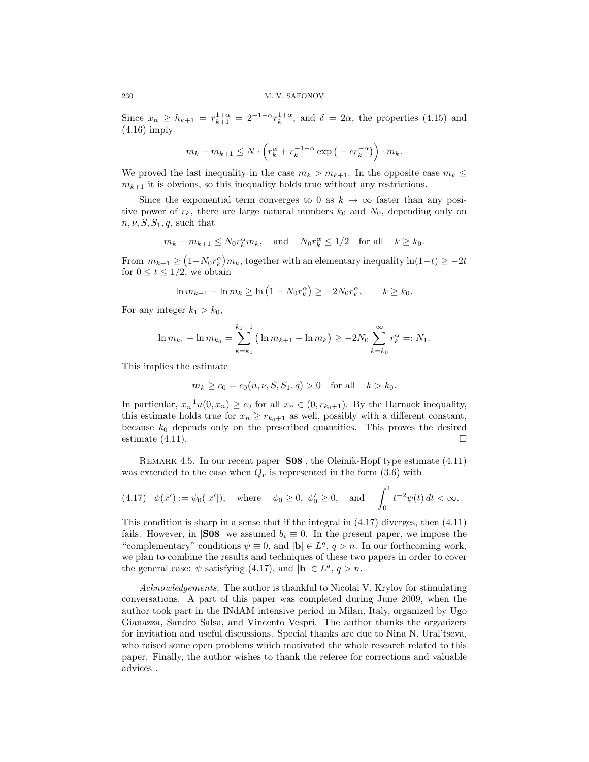Since  $x_n \geq h_{k+1} = r_{k+1}^{1+\alpha} = 2^{-1-\alpha} r_k^{1+\alpha}$ , and  $\delta = 2\alpha$ , the properties (4.15) and (4.16) imply

$$
m_k - m_{k+1} \le N \cdot \left( r_k^{\alpha} + r_k^{-1-\alpha} \exp\left( -c r_k^{-\alpha} \right) \right) \cdot m_k.
$$

We proved the last inequality in the case  $m_k > m_{k+1}$ . In the opposite case  $m_k \leq$  $m_{k+1}$  it is obvious, so this inequality holds true without any restrictions.

Since the exponential term converges to 0 as  $k \to \infty$  faster than any positive power of  $r_k$ , there are large natural numbers  $k_0$  and  $N_0$ , depending only on  $n, \nu, S, S_1, q$ , such that

$$
m_k - m_{k+1} \leq N_0 r_k^{\alpha} m_k
$$
, and  $N_0 r_k^{\alpha} \leq 1/2$  for all  $k \geq k_0$ .

From  $m_{k+1} \ge (1 - N_0 r_k^{\alpha}) m_k$ , together with an elementary inequality  $\ln(1-t) \ge -2t$ for  $0 \le t \le 1/2$ , we obtain

$$
\ln m_{k+1} - \ln m_k \ge \ln (1 - N_0 r_k^{\alpha}) \ge -2N_0 r_k^{\alpha}, \qquad k \ge k_0.
$$

For any integer  $k_1 > k_0$ ,

$$
\ln m_{k_1} - \ln m_{k_0} = \sum_{k=k_0}^{k_1-1} \left( \ln m_{k+1} - \ln m_k \right) \ge -2N_0 \sum_{k=k_0}^{\infty} r_k^{\alpha} =: N_1.
$$

This implies the estimate

$$
m_k \ge c_0 = c_0(n, \nu, S, S_1, q) > 0
$$
 for all  $k > k_0$ .

In particular,  $x_n^{-1}u(0, x_n) \ge c_0$  for all  $x_n \in (0, r_{k_0+1})$ . By the Harnack inequality, this estimate holds true for  $x_n \ge r_{k_0+1}$  as well, possibly with a different constant, because  $k_0$  depends only on the prescribed quantities. This proves the desired estimate  $(4.11)$ .

REMARK 4.5. In our recent paper [S08], the Oleinik-Hopf type estimate (4.11) was extended to the case when  $Q_r$  is represented in the form (3.6) with

(4.17) 
$$
\psi(x') := \psi_0(|x'|)
$$
, where  $\psi_0 \ge 0$ ,  $\psi'_0 \ge 0$ , and  $\int_0^1 t^{-2} \psi(t) dt < \infty$ .

This condition is sharp in a sense that if the integral in (4.17) diverges, then (4.11) fails. However, in [S08] we assumed  $b_i \equiv 0$ . In the present paper, we impose the "complementary" conditions  $\psi \equiv 0$ , and  $|\mathbf{b}| \in L^q$ ,  $q > n$ . In our forthcoming work, we plan to combine the results and techniques of these two papers in order to cover the general case:  $\psi$  satisfying (4.17), and  $|\mathbf{b}| \in L^q$ ,  $q > n$ .

Acknowledgements. The author is thankful to Nicolai V. Krylov for stimulating conversations. A part of this paper was completed during June 2009, when the author took part in the INdAM intensive period in Milan, Italy, organized by Ugo Gianazza, Sandro Salsa, and Vincento Vespri. The author thanks the organizers for invitation and useful discussions. Special thanks are due to Nina N. Ural'tseva, who raised some open problems which motivated the whole research related to this paper. Finally, the author wishes to thank the referee for corrections and valuable advices .